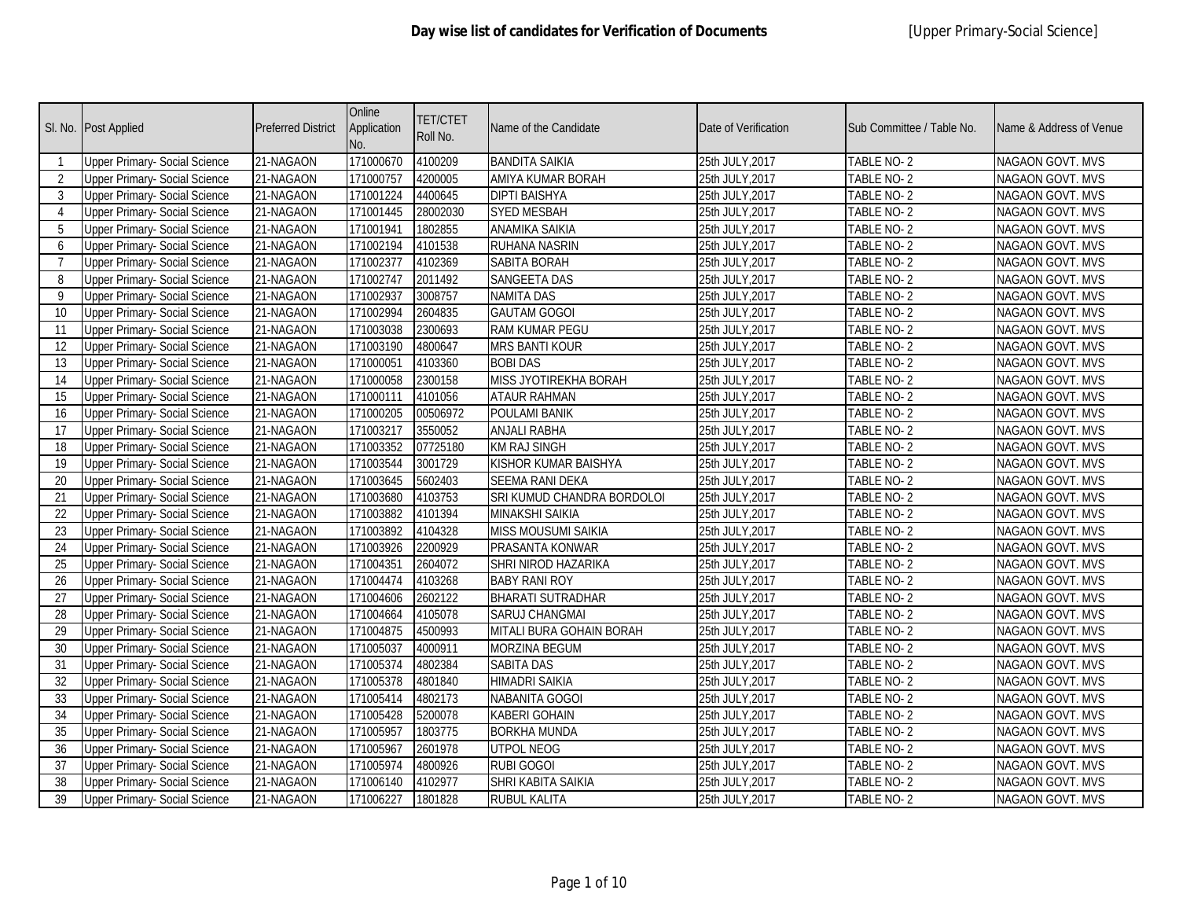| SI. No.                   | <b>Post Applied</b>                  | <b>Preferred District</b> | Online<br>Application<br>No. | <b>TET/CTET</b><br>Roll No. | Name of the Candidate      | Date of Verification | Sub Committee / Table No. | Name & Address of Venue |
|---------------------------|--------------------------------------|---------------------------|------------------------------|-----------------------------|----------------------------|----------------------|---------------------------|-------------------------|
| $\mathbf{1}$              | Upper Primary- Social Science        | 21-NAGAON                 | 171000670                    | 4100209                     | <b>BANDITA SAIKIA</b>      | 25th JULY, 2017      | TABLE NO-2                | NAGAON GOVT. MVS        |
| 2                         | Upper Primary- Social Science        | 21-NAGAON                 | 171000757                    | 4200005                     | AMIYA KUMAR BORAH          | 25th JULY, 2017      | TABLE NO- 2               | NAGAON GOVT. MVS        |
| 3                         | <b>Upper Primary- Social Science</b> | 21-NAGAON                 | 171001224                    | 4400645                     | <b>DIPTI BAISHYA</b>       | 25th JULY, 2017      | TABLE NO-2                | <b>NAGAON GOVT. MVS</b> |
| $\boldsymbol{\varLambda}$ | <b>Upper Primary- Social Science</b> | 21-NAGAON                 | 171001445                    | 28002030                    | <b>SYED MESBAH</b>         | 25th JULY, 2017      | TABLE NO-2                | <b>NAGAON GOVT. MVS</b> |
| 5                         | <b>Upper Primary- Social Science</b> | 21-NAGAON                 | 171001941                    | 1802855                     | <b>ANAMIKA SAIKIA</b>      | 25th JULY, 2017      | <b>TABLE NO-2</b>         | NAGAON GOVT. MVS        |
| 6                         | <b>Upper Primary- Social Science</b> | 21-NAGAON                 | 171002194                    | 4101538                     | RUHANA NASRIN              | 25th JULY, 2017      | TABLE NO-2                | NAGAON GOVT. MVS        |
| 7                         | Upper Primary- Social Science        | 21-NAGAON                 | 171002377                    | 4102369                     | SABITA BORAH               | 25th JULY, 2017      | TABLE NO-2                | NAGAON GOVT. MVS        |
| 8                         | <b>Upper Primary- Social Science</b> | 21-NAGAON                 | 171002747                    | 2011492                     | <b>SANGEETA DAS</b>        | 25th JULY, 2017      | <b>TABLE NO-2</b>         | <b>NAGAON GOVT. MVS</b> |
| 9                         | <b>Upper Primary- Social Science</b> | 21-NAGAON                 | 171002937                    | 3008757                     | <b>NAMITA DAS</b>          | 25th JULY, 2017      | TABLE NO-2                | <b>NAGAON GOVT. MVS</b> |
| 10                        | <b>Upper Primary- Social Science</b> | 21-NAGAON                 | 171002994                    | 2604835                     | <b>GAUTAM GOGOI</b>        | 25th JULY, 2017      | TABLE NO-2                | <b>NAGAON GOVT. MVS</b> |
| 11                        | Upper Primary- Social Science        | 21-NAGAON                 | 171003038                    | 2300693                     | <b>RAM KUMAR PEGU</b>      | 25th JULY, 2017      | TABLE NO-2                | NAGAON GOVT. MVS        |
| 12                        | <b>Upper Primary- Social Science</b> | 21-NAGAON                 | 171003190                    | 4800647                     | <b>MRS BANTI KOUR</b>      | 25th JULY, 2017      | TABLE NO-2                | NAGAON GOVT. MVS        |
| 13                        | <b>Upper Primary- Social Science</b> | 21-NAGAON                 | 171000051                    | 4103360                     | <b>BOBI DAS</b>            | 25th JULY, 2017      | TABLE NO-2                | NAGAON GOVT. MVS        |
| 14                        | <b>Upper Primary- Social Science</b> | 21-NAGAON                 | 171000058                    | 2300158                     | MISS JYOTIREKHA BORAH      | 25th JULY, 2017      | TABLE NO-2                | NAGAON GOVT. MVS        |
| 15                        | <b>Upper Primary- Social Science</b> | 21-NAGAON                 | 171000111                    | 4101056                     | <b>ATAUR RAHMAN</b>        | 25th JULY, 2017      | TABLE NO-2                | NAGAON GOVT. MVS        |
| 16                        | <b>Upper Primary- Social Science</b> | 21-NAGAON                 | 171000205                    | 00506972                    | <b>POULAMI BANIK</b>       | 25th JULY, 2017      | TABLE NO-2                | NAGAON GOVT. MVS        |
| 17                        | <b>Upper Primary- Social Science</b> | 21-NAGAON                 | 171003217                    | 3550052                     | <b>ANJALI RABHA</b>        | 25th JULY, 2017      | TABLE NO-2                | NAGAON GOVT. MVS        |
| 18                        | <b>Upper Primary- Social Science</b> | 21-NAGAON                 | 171003352                    | 07725180                    | <b>KM RAJ SINGH</b>        | 25th JULY, 2017      | TABLE NO-2                | NAGAON GOVT. MVS        |
| 19                        | Upper Primary- Social Science        | 21-NAGAON                 | 171003544                    | 3001729                     | KISHOR KUMAR BAISHYA       | 25th JULY, 2017      | TABLE NO-2                | <b>NAGAON GOVT. MVS</b> |
| 20                        | Upper Primary- Social Science        | 21-NAGAON                 | 171003645                    | 5602403                     | <b>SEEMA RANI DEKA</b>     | 25th JULY, 2017      | TABLE NO-2                | <b>NAGAON GOVT. MVS</b> |
| 21                        | <b>Upper Primary- Social Science</b> | 21-NAGAON                 | 171003680                    | 4103753                     | SRI KUMUD CHANDRA BORDOLOI | 25th JULY, 2017      | TABLE NO-2                | <b>NAGAON GOVT. MVS</b> |
| 22                        | <b>Upper Primary- Social Science</b> | 21-NAGAON                 | 171003882                    | 4101394                     | <b>MINAKSHI SAIKIA</b>     | 25th JULY, 2017      | TABLE NO-2                | <b>NAGAON GOVT. MVS</b> |
| 23                        | Upper Primary- Social Science        | 21-NAGAON                 | 171003892                    | 4104328                     | <b>MISS MOUSUMI SAIKIA</b> | 25th JULY, 2017      | TABLE NO-2                | NAGAON GOVT. MVS        |
| 24                        | Upper Primary- Social Science        | 21-NAGAON                 | 171003926                    | 2200929                     | PRASANTA KONWAR            | 25th JULY, 2017      | TABLE NO-2                | NAGAON GOVT. MVS        |
| 25                        | <b>Upper Primary- Social Science</b> | 21-NAGAON                 | 171004351                    | 2604072                     | SHRI NIROD HAZARIKA        | 25th JULY, 2017      | TABLE NO-2                | <b>NAGAON GOVT. MVS</b> |
| 26                        | <b>Upper Primary- Social Science</b> | 21-NAGAON                 | 171004474                    | 4103268                     | <b>BABY RANI ROY</b>       | 25th JULY, 2017      | TABLE NO-2                | NAGAON GOVT. MVS        |
| 27                        | <b>Upper Primary- Social Science</b> | 21-NAGAON                 | 171004606                    | 2602122                     | <b>BHARATI SUTRADHAR</b>   | 25th JULY, 2017      | TABLE NO-2                | <b>NAGAON GOVT. MVS</b> |
| 28                        | <b>Upper Primary- Social Science</b> | 21-NAGAON                 | 171004664                    | 4105078                     | SARUJ CHANGMAI             | 25th JULY, 2017      | TABLE NO-2                | NAGAON GOVT. MVS        |
| 29                        | <b>Upper Primary- Social Science</b> | 21-NAGAON                 | 171004875                    | 4500993                     | MITALI BURA GOHAIN BORAH   | 25th JULY, 2017      | TABLE NO-2                | NAGAON GOVT. MVS        |
| 30                        | <b>Upper Primary- Social Science</b> | 21-NAGAON                 | 171005037                    | 4000911                     | <b>MORZINA BEGUM</b>       | 25th JULY, 2017      | <b>TABLE NO-2</b>         | NAGAON GOVT. MVS        |
| 31                        | <b>Upper Primary- Social Science</b> | 21-NAGAON                 | 171005374                    | 4802384                     | <b>SABITA DAS</b>          | 25th JULY, 2017      | TABLE NO-2                | <b>NAGAON GOVT. MVS</b> |
| 32                        | Upper Primary- Social Science        | 21-NAGAON                 | 171005378                    | 4801840                     | <b>HIMADRI SAIKIA</b>      | 25th JULY, 2017      | TABLE NO-2                | NAGAON GOVT. MVS        |
| 33                        | <b>Upper Primary- Social Science</b> | 21-NAGAON                 | 171005414                    | 4802173                     | NABANITA GOGOI             | 25th JULY, 2017      | TABLE NO-2                | <b>NAGAON GOVT. MVS</b> |
| 34                        | <b>Upper Primary- Social Science</b> | 21-NAGAON                 | 171005428                    | 5200078                     | <b>KABERI GOHAIN</b>       | 25th JULY, 2017      | TABLE NO-2                | NAGAON GOVT. MVS        |
| 35                        | Upper Primary- Social Science        | 21-NAGAON                 | 171005957                    | 1803775                     | <b>BORKHA MUNDA</b>        | 25th JULY, 2017      | TABLE NO-2                | <b>NAGAON GOVT. MVS</b> |
| 36                        | <b>Upper Primary- Social Science</b> | 21-NAGAON                 | 171005967                    | 2601978                     | <b>UTPOL NEOG</b>          | 25th JULY, 2017      | TABLE NO-2                | NAGAON GOVT. MVS        |
| 37                        | <b>Upper Primary- Social Science</b> | 21-NAGAON                 | 171005974                    | 4800926                     | <b>RUBI GOGOI</b>          | 25th JULY, 2017      | TABLE NO-2                | NAGAON GOVT. MVS        |
| 38                        | <b>Upper Primary- Social Science</b> | 21-NAGAON                 | 171006140                    | 4102977                     | SHRI KABITA SAIKIA         | 25th JULY, 2017      | TABLE NO- 2               | NAGAON GOVT. MVS        |
| 39                        | <b>Upper Primary- Social Science</b> | 21-NAGAON                 | 171006227                    | 1801828                     | RUBUL KALITA               | 25th JULY, 2017      | TABLE NO- 2               | NAGAON GOVT. MVS        |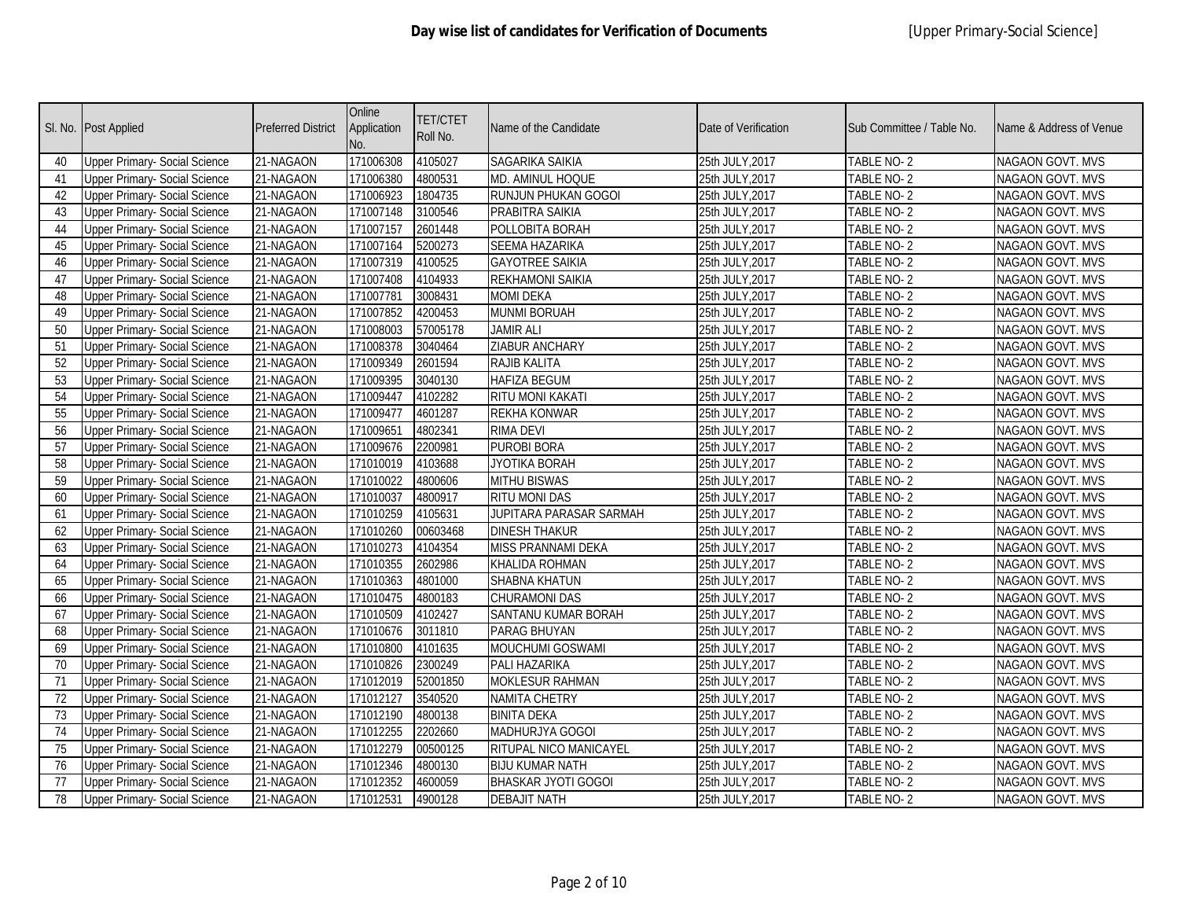| SI. No. | <b>Post Applied</b>                  | <b>Preferred District</b> | Online<br>Application<br>No. | <b>TET/CTET</b><br>Roll No. | Name of the Candidate      | Date of Verification | Sub Committee / Table No. | Name & Address of Venue |
|---------|--------------------------------------|---------------------------|------------------------------|-----------------------------|----------------------------|----------------------|---------------------------|-------------------------|
| 40      | Upper Primary- Social Science        | 21-NAGAON                 | 171006308                    | 4105027                     | SAGARIKA SAIKIA            | 25th JULY, 2017      | TABLE NO-2                | NAGAON GOVT. MVS        |
| 41      | <b>Upper Primary- Social Science</b> | 21-NAGAON                 | 171006380                    | 4800531                     | <b>MD. AMINUL HOQUE</b>    | 25th JULY, 2017      | TABLE NO- 2               | NAGAON GOVT. MVS        |
| 42      | <b>Upper Primary- Social Science</b> | 21-NAGAON                 | 171006923                    | 1804735                     | RUNJUN PHUKAN GOGOI        | 25th JULY, 2017      | TABLE NO-2                | <b>NAGAON GOVT. MVS</b> |
| 43      | <b>Upper Primary- Social Science</b> | 21-NAGAON                 | 171007148                    | 3100546                     | PRABITRA SAIKIA            | 25th JULY, 2017      | TABLE NO-2                | <b>NAGAON GOVT. MVS</b> |
| 44      | <b>Upper Primary- Social Science</b> | 21-NAGAON                 | 171007157                    | 2601448                     | POLLOBITA BORAH            | 25th JULY, 2017      | TABLE NO-2                | NAGAON GOVT. MVS        |
| 45      | <b>Upper Primary- Social Science</b> | 21-NAGAON                 | 171007164                    | 5200273                     | SEEMA HAZARIKA             | 25th JULY, 2017      | TABLE NO-2                | NAGAON GOVT. MVS        |
| 46      | Upper Primary- Social Science        | 21-NAGAON                 | 171007319                    | 4100525                     | <b>GAYOTREE SAIKIA</b>     | 25th JULY, 2017      | TABLE NO-2                | NAGAON GOVT. MVS        |
| 47      | <b>Upper Primary- Social Science</b> | 21-NAGAON                 | 171007408                    | 4104933                     | <b>REKHAMONI SAIKIA</b>    | 25th JULY, 2017      | TABLE NO-2                | <b>NAGAON GOVT. MVS</b> |
| 48      | <b>Upper Primary- Social Science</b> | 21-NAGAON                 | 171007781                    | 3008431                     | <b>MOMI DEKA</b>           | 25th JULY, 2017      | TABLE NO-2                | <b>NAGAON GOVT. MVS</b> |
| 49      | <b>Upper Primary- Social Science</b> | 21-NAGAON                 | 171007852                    | 4200453                     | <b>MUNMI BORUAH</b>        | 25th JULY, 2017      | TABLE NO-2                | <b>NAGAON GOVT. MVS</b> |
| 50      | Upper Primary- Social Science        | 21-NAGAON                 | 171008003                    | 57005178                    | <b>JAMIR ALI</b>           | 25th JULY, 2017      | TABLE NO-2                | NAGAON GOVT. MVS        |
| 51      | <b>Upper Primary- Social Science</b> | 21-NAGAON                 | 171008378                    | 3040464                     | <b>ZIABUR ANCHARY</b>      | 25th JULY, 2017      | TABLE NO-2                | NAGAON GOVT. MVS        |
| 52      | <b>Upper Primary- Social Science</b> | 21-NAGAON                 | 171009349                    | 2601594                     | RAJIB KALITA               | 25th JULY, 2017      | TABLE NO-2                | NAGAON GOVT. MVS        |
| 53      | <b>Upper Primary- Social Science</b> | 21-NAGAON                 | 171009395                    | 3040130                     | <b>HAFIZA BEGUM</b>        | 25th JULY, 2017      | TABLE NO-2                | NAGAON GOVT. MVS        |
| 54      | Upper Primary- Social Science        | 21-NAGAON                 | 171009447                    | 4102282                     | <b>RITU MONI KAKATI</b>    | 25th JULY, 2017      | TABLE NO-2                | NAGAON GOVT. MVS        |
| 55      | <b>Upper Primary- Social Science</b> | 21-NAGAON                 | 171009477                    | 4601287                     | <b>REKHA KONWAR</b>        | 25th JULY, 2017      | TABLE NO-2                | NAGAON GOVT. MVS        |
| 56      | <b>Upper Primary- Social Science</b> | 21-NAGAON                 | 171009651                    | 4802341                     | <b>RIMA DEVI</b>           | 25th JULY, 2017      | TABLE NO-2                | NAGAON GOVT. MVS        |
| 57      | <b>Upper Primary- Social Science</b> | 21-NAGAON                 | 171009676                    | 2200981                     | <b>PUROBI BORA</b>         | 25th JULY, 2017      | TABLE NO-2                | NAGAON GOVT. MVS        |
| 58      | Upper Primary- Social Science        | 21-NAGAON                 | 171010019                    | 4103688                     | JYOTIKA BORAH              | 25th JULY, 2017      | TABLE NO-2                | <b>NAGAON GOVT. MVS</b> |
| 59      | Upper Primary- Social Science        | 21-NAGAON                 | 171010022                    | 4800606                     | <b>MITHU BISWAS</b>        | 25th JULY, 2017      | TABLE NO-2                | NAGAON GOVT. MVS        |
| 60      | <b>Upper Primary- Social Science</b> | 21-NAGAON                 | 171010037                    | 4800917                     | <b>RITU MONI DAS</b>       | 25th JULY, 2017      | TABLE NO-2                | <b>NAGAON GOVT. MVS</b> |
| 61      | <b>Upper Primary- Social Science</b> | 21-NAGAON                 | 171010259                    | 4105631                     | JUPITARA PARASAR SARMAH    | 25th JULY, 2017      | TABLE NO-2                | NAGAON GOVT. MVS        |
| 62      | Upper Primary- Social Science        | 21-NAGAON                 | 171010260                    | 00603468                    | <b>DINESH THAKUR</b>       | 25th JULY, 2017      | TABLE NO-2                | NAGAON GOVT. MVS        |
| 63      | <b>Upper Primary- Social Science</b> | 21-NAGAON                 | 171010273                    | 4104354                     | MISS PRANNAMI DEKA         | 25th JULY, 2017      | TABLE NO-2                | NAGAON GOVT. MVS        |
| 64      | <b>Upper Primary- Social Science</b> | 21-NAGAON                 | 171010355                    | 2602986                     | <b>KHALIDA ROHMAN</b>      | 25th JULY, 2017      | TABLE NO-2                | <b>NAGAON GOVT. MVS</b> |
| 65      | <b>Upper Primary- Social Science</b> | 21-NAGAON                 | 171010363                    | 4801000                     | <b>SHABNA KHATUN</b>       | 25th JULY, 2017      | TABLE NO-2                | NAGAON GOVT. MVS        |
| 66      | <b>Upper Primary- Social Science</b> | 21-NAGAON                 | 171010475                    | 4800183                     | <b>CHURAMONI DAS</b>       | 25th JULY, 2017      | TABLE NO-2                | NAGAON GOVT. MVS        |
| 67      | <b>Upper Primary- Social Science</b> | 21-NAGAON                 | 171010509                    | 4102427                     | SANTANU KUMAR BORAH        | 25th JULY, 2017      | TABLE NO-2                | NAGAON GOVT. MVS        |
| 68      | <b>Upper Primary- Social Science</b> | 21-NAGAON                 | 171010676                    | 3011810                     | PARAG BHUYAN               | 25th JULY, 2017      | TABLE NO-2                | NAGAON GOVT. MVS        |
| 69      | <b>Upper Primary- Social Science</b> | 21-NAGAON                 | 171010800                    | 4101635                     | <b>MOUCHUMI GOSWAMI</b>    | 25th JULY, 2017      | <b>TABLE NO-2</b>         | NAGAON GOVT. MVS        |
| 70      | <b>Upper Primary- Social Science</b> | 21-NAGAON                 | 171010826                    | 2300249                     | PALI HAZARIKA              | 25th JULY, 2017      | TABLE NO-2                | <b>NAGAON GOVT. MVS</b> |
| 71      | Upper Primary- Social Science        | 21-NAGAON                 | 171012019                    | 52001850                    | <b>MOKLESUR RAHMAN</b>     | 25th JULY, 2017      | TABLE NO-2                | NAGAON GOVT. MVS        |
| 72      | <b>Upper Primary- Social Science</b> | 21-NAGAON                 | 171012127                    | 3540520                     | <b>NAMITA CHETRY</b>       | 25th JULY, 2017      | TABLE NO-2                | NAGAON GOVT. MVS        |
| 73      | <b>Upper Primary- Social Science</b> | 21-NAGAON                 | 171012190                    | 4800138                     | <b>BINITA DEKA</b>         | 25th JULY, 2017      | TABLE NO-2                | NAGAON GOVT. MVS        |
| 74      | Upper Primary- Social Science        | 21-NAGAON                 | 171012255                    | 2202660                     | MADHURJYA GOGOI            | 25th JULY, 2017      | TABLE NO-2                | <b>NAGAON GOVT. MVS</b> |
| 75      | <b>Upper Primary- Social Science</b> | 21-NAGAON                 | 171012279                    | 00500125                    | RITUPAL NICO MANICAYEL     | 25th JULY, 2017      | TABLE NO-2                | NAGAON GOVT. MVS        |
| 76      | <b>Upper Primary- Social Science</b> | 21-NAGAON                 | 171012346                    | 4800130                     | <b>BIJU KUMAR NATH</b>     | 25th JULY, 2017      | TABLE NO-2                | NAGAON GOVT. MVS        |
| 77      | <b>Upper Primary- Social Science</b> | 21-NAGAON                 | 171012352                    | 4600059                     | <b>BHASKAR JYOTI GOGOI</b> | 25th JULY, 2017      | TABLE NO- 2               | NAGAON GOVT. MVS        |
| 78      | <b>Upper Primary- Social Science</b> | 21-NAGAON                 | 171012531                    | 4900128                     | <b>DEBAJIT NATH</b>        | 25th JULY, 2017      | TABLE NO- 2               | NAGAON GOVT. MVS        |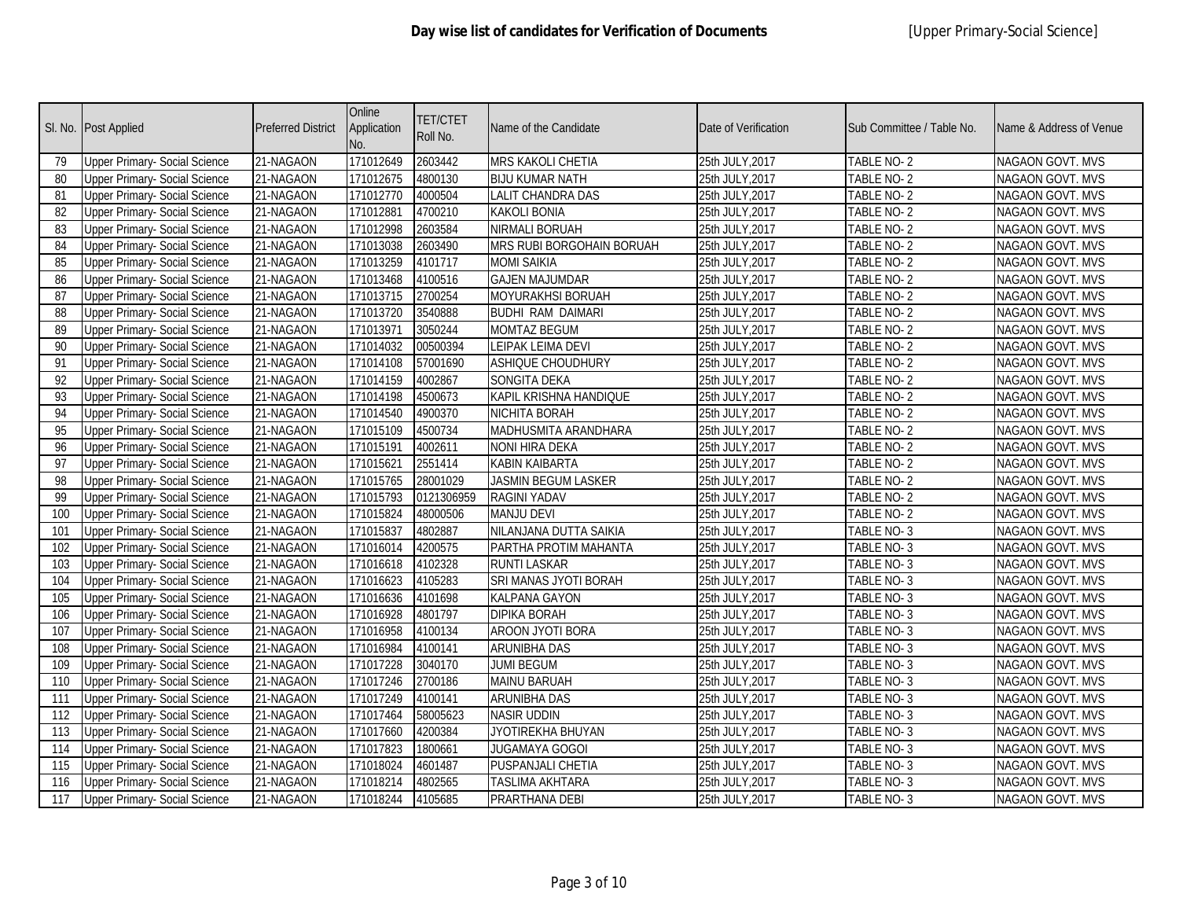|     | Sl. No. Post Applied                 | <b>Preferred District</b> | Online<br>Application<br>No. | <b>TET/CTET</b><br>Roll No. | Name of the Candidate      | Date of Verification | Sub Committee / Table No. | Name & Address of Venue |
|-----|--------------------------------------|---------------------------|------------------------------|-----------------------------|----------------------------|----------------------|---------------------------|-------------------------|
| 79  | <b>Upper Primary- Social Science</b> | 21-NAGAON                 | 171012649                    | 2603442                     | MRS KAKOLI CHETIA          | 25th JULY, 2017      | TABLE NO-2                | NAGAON GOVT. MVS        |
| 80  | <b>Upper Primary- Social Science</b> | 21-NAGAON                 | 171012675                    | 4800130                     | <b>BIJU KUMAR NATH</b>     | 25th JULY, 2017      | TABLE NO-2                | NAGAON GOVT. MVS        |
| 81  | <b>Upper Primary- Social Science</b> | 21-NAGAON                 | 171012770                    | 4000504                     | <b>LALIT CHANDRA DAS</b>   | 25th JULY, 2017      | <b>TABLE NO-2</b>         | <b>NAGAON GOVT. MVS</b> |
| 82  | <b>Upper Primary- Social Science</b> | 21-NAGAON                 | 171012881                    | 4700210                     | <b>KAKOLI BONIA</b>        | 25th JULY, 2017      | TABLE NO-2                | <b>NAGAON GOVT. MVS</b> |
| 83  | <b>Upper Primary- Social Science</b> | 21-NAGAON                 | 171012998                    | 2603584                     | NIRMALI BORUAH             | 25th JULY, 2017      | TABLE NO-2                | NAGAON GOVT. MVS        |
| 84  | <b>Upper Primary- Social Science</b> | 21-NAGAON                 | 171013038                    | 2603490                     | MRS RUBI BORGOHAIN BORUAH  | 25th JULY, 2017      | TABLE NO-2                | NAGAON GOVT. MVS        |
| 85  | <b>Upper Primary- Social Science</b> | 21-NAGAON                 | 171013259                    | 4101717                     | <b>MOMI SAIKIA</b>         | 25th JULY, 2017      | TABLE NO-2                | NAGAON GOVT. MVS        |
| 86  | <b>Upper Primary- Social Science</b> | 21-NAGAON                 | 171013468                    | 4100516                     | <b>GAJEN MAJUMDAR</b>      | 25th JULY, 2017      | TABLE NO-2                | NAGAON GOVT. MVS        |
| 87  | <b>Upper Primary- Social Science</b> | 21-NAGAON                 | 171013715                    | 2700254                     | MOYURAKHSI BORUAH          | 25th JULY, 2017      | <b>TABLE NO-2</b>         | <b>NAGAON GOVT. MVS</b> |
| 88  | <b>Upper Primary- Social Science</b> | 21-NAGAON                 | 171013720                    | 3540888                     | <b>BUDHI RAM DAIMARI</b>   | 25th JULY, 2017      | TABLE NO-2                | NAGAON GOVT. MVS        |
| 89  | <b>Upper Primary- Social Science</b> | 21-NAGAON                 | 171013971                    | 3050244                     | <b>MOMTAZ BEGUM</b>        | 25th JULY, 2017      | TABLE NO-2                | NAGAON GOVT. MVS        |
| 90  | <b>Upper Primary- Social Science</b> | 21-NAGAON                 | 171014032                    | 00500394                    | LEIPAK LEIMA DEVI          | 25th JULY, 2017      | TABLE NO-2                | NAGAON GOVT. MVS        |
| 91  | <b>Upper Primary- Social Science</b> | 21-NAGAON                 | 171014108                    | 57001690                    | ASHIQUE CHOUDHURY          | 25th JULY, 2017      | TABLE NO-2                | NAGAON GOVT. MVS        |
| 92  | <b>Upper Primary- Social Science</b> | 21-NAGAON                 | 171014159                    | 4002867                     | SONGITA DEKA               | 25th JULY, 2017      | TABLE NO-2                | NAGAON GOVT. MVS        |
| 93  | Upper Primary- Social Science        | 21-NAGAON                 | 171014198                    | 4500673                     | KAPIL KRISHNA HANDIQUE     | 25th JULY, 2017      | TABLE NO- 2               | NAGAON GOVT. MVS        |
| 94  | <b>Upper Primary- Social Science</b> | 21-NAGAON                 | 171014540                    | 4900370                     | NICHITA BORAH              | 25th JULY, 2017      | TABLE NO-2                | NAGAON GOVT. MVS        |
| 95  | <b>Upper Primary- Social Science</b> | 21-NAGAON                 | 171015109                    | 4500734                     | MADHUSMITA ARANDHARA       | 25th JULY, 2017      | TABLE NO-2                | NAGAON GOVT. MVS        |
| 96  | <b>Upper Primary- Social Science</b> | 21-NAGAON                 | 171015191                    | 4002611                     | NONI HIRA DEKA             | 25th JULY, 2017      | TABLE NO-2                | NAGAON GOVT. MVS        |
| 97  | <b>Upper Primary- Social Science</b> | 21-NAGAON                 | 171015621                    | 2551414                     | KABIN KAIBARTA             | 25th JULY, 2017      | TABLE NO-2                | NAGAON GOVT. MVS        |
| 98  | <b>Upper Primary- Social Science</b> | 21-NAGAON                 | 171015765                    | 28001029                    | <b>JASMIN BEGUM LASKER</b> | 25th JULY, 2017      | TABLE NO-2                | NAGAON GOVT. MVS        |
| 99  | Upper Primary- Social Science        | 21-NAGAON                 | 171015793                    | 0121306959                  | <b>RAGINI YADAV</b>        | 25th JULY, 2017      | TABLE NO-2                | NAGAON GOVT. MVS        |
| 100 | <b>Upper Primary- Social Science</b> | 21-NAGAON                 | 171015824                    | 48000506                    | <b>MANJU DEVI</b>          | 25th JULY, 2017      | TABLE NO-2                | NAGAON GOVT. MVS        |
| 101 | <b>Upper Primary- Social Science</b> | 21-NAGAON                 | 171015837                    | 4802887                     | NILANJANA DUTTA SAIKIA     | 25th JULY, 2017      | TABLE NO-3                | NAGAON GOVT. MVS        |
| 102 | <b>Upper Primary- Social Science</b> | 21-NAGAON                 | 171016014                    | 4200575                     | PARTHA PROTIM MAHANTA      | 25th JULY, 2017      | TABLE NO-3                | NAGAON GOVT. MVS        |
| 103 | <b>Upper Primary- Social Science</b> | 21-NAGAON                 | 171016618                    | 4102328                     | RUNTI LASKAR               | 25th JULY, 2017      | TABLE NO-3                | NAGAON GOVT. MVS        |
| 104 | <b>Upper Primary- Social Science</b> | 21-NAGAON                 | 171016623                    | 4105283                     | SRI MANAS JYOTI BORAH      | 25th JULY, 2017      | TABLE NO-3                | NAGAON GOVT. MVS        |
| 105 | <b>Upper Primary- Social Science</b> | 21-NAGAON                 | 171016636                    | 4101698                     | <b>KALPANA GAYON</b>       | 25th JULY, 2017      | TABLE NO-3                | NAGAON GOVT. MVS        |
| 106 | <b>Upper Primary- Social Science</b> | 21-NAGAON                 | 171016928                    | 4801797                     | <b>DIPIKA BORAH</b>        | 25th JULY, 2017      | TABLE NO-3                | NAGAON GOVT. MVS        |
| 107 | <b>Upper Primary- Social Science</b> | 21-NAGAON                 | 171016958                    | 4100134                     | AROON JYOTI BORA           | 25th JULY.2017       | TABLE NO-3                | NAGAON GOVT. MVS        |
| 108 | <b>Upper Primary- Social Science</b> | 21-NAGAON                 | 171016984                    | 4100141                     | ARUNIBHA DAS               | 25th JULY, 2017      | TABLE NO-3                | NAGAON GOVT. MVS        |
| 109 | <b>Upper Primary- Social Science</b> | 21-NAGAON                 | 171017228                    | 3040170                     | <b>JUMI BEGUM</b>          | 25th JULY, 2017      | TABLE NO-3                | NAGAON GOVT. MVS        |
| 110 | <b>Upper Primary- Social Science</b> | 21-NAGAON                 | 171017246                    | 2700186                     | <b>MAINU BARUAH</b>        | 25th JULY, 2017      | TABLE NO-3                | NAGAON GOVT. MVS        |
| 111 | <b>Upper Primary- Social Science</b> | 21-NAGAON                 | 171017249                    | 4100141                     | ARUNIBHA DAS               | 25th JULY, 2017      | TABLE NO-3                | NAGAON GOVT. MVS        |
| 112 | <b>Upper Primary- Social Science</b> | 21-NAGAON                 | 171017464                    | 58005623                    | <b>NASIR UDDIN</b>         | 25th JULY, 2017      | TABLE NO-3                | NAGAON GOVT. MVS        |
| 113 | <b>Upper Primary- Social Science</b> | 21-NAGAON                 | 171017660                    | 4200384                     | JYOTIREKHA BHUYAN          | 25th JULY, 2017      | TABLE NO-3                | NAGAON GOVT. MVS        |
| 114 | <b>Upper Primary- Social Science</b> | 21-NAGAON                 | 171017823                    | 1800661                     | <b>JUGAMAYA GOGOI</b>      | 25th JULY, 2017      | TABLE NO-3                | NAGAON GOVT. MVS        |
| 115 | <b>Upper Primary- Social Science</b> | 21-NAGAON                 | 171018024                    | 4601487                     | PUSPANJALI CHETIA          | 25th JULY, 2017      | TABLE NO-3                | NAGAON GOVT. MVS        |
| 116 | <b>Upper Primary- Social Science</b> | 21-NAGAON                 | 171018214                    | 4802565                     | <b>TASLIMA AKHTARA</b>     | 25th JULY, 2017      | TABLE NO- 3               | NAGAON GOVT. MVS        |
| 117 | <b>Upper Primary- Social Science</b> | 21-NAGAON                 | 171018244                    | 4105685                     | PRARTHANA DEBI             | 25th JULY, 2017      | TABLE NO- 3               | NAGAON GOVT. MVS        |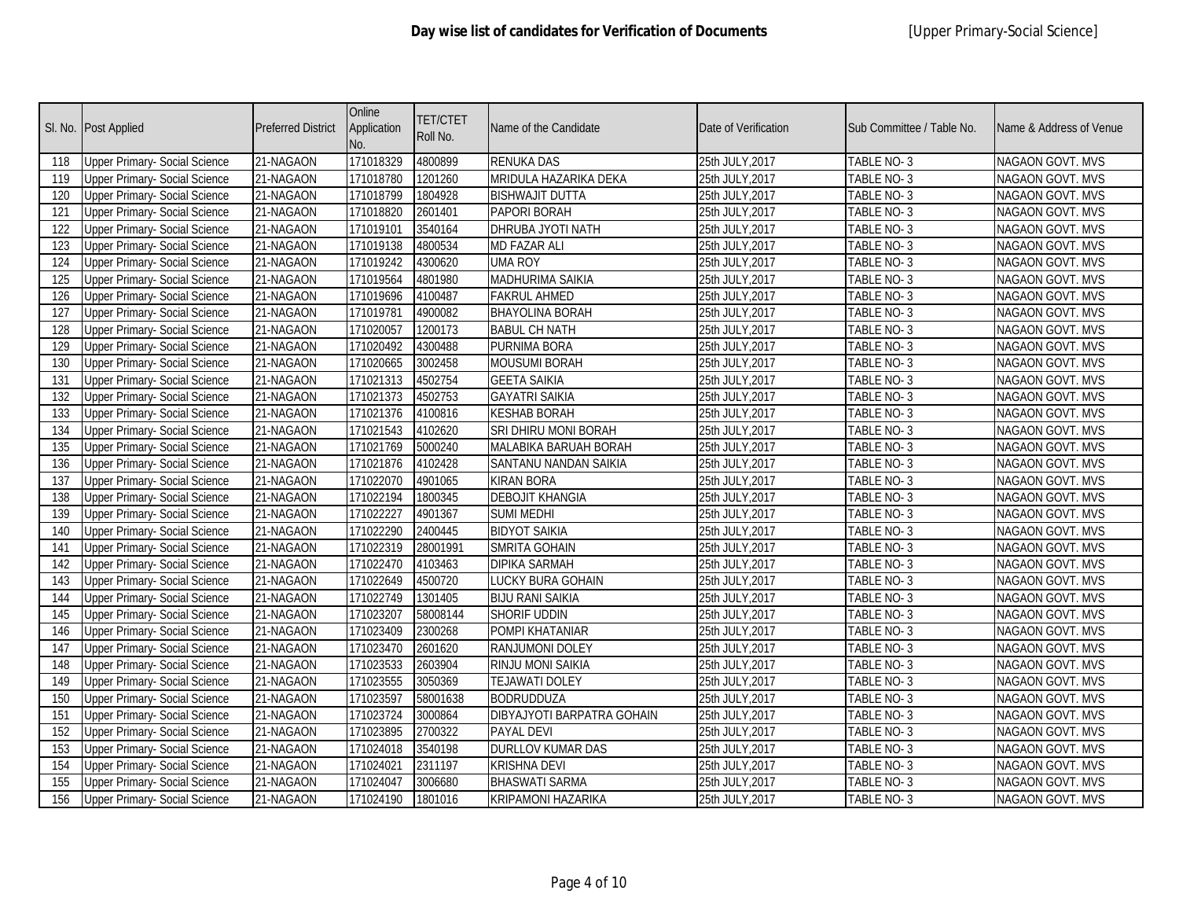|     | Sl. No. Post Applied                 | <b>Preferred District</b> | Online<br>Application<br>No. | <b>TET/CTET</b><br>Roll No. | Name of the Candidate             | Date of Verification | Sub Committee / Table No. | Name & Address of Venue |
|-----|--------------------------------------|---------------------------|------------------------------|-----------------------------|-----------------------------------|----------------------|---------------------------|-------------------------|
| 118 | <b>Upper Primary- Social Science</b> | 21-NAGAON                 | 171018329                    | 4800899                     | <b>RENUKA DAS</b>                 | 25th JULY, 2017      | TABLE NO-3                | NAGAON GOVT. MVS        |
| 119 | <b>Upper Primary- Social Science</b> | 21-NAGAON                 | 171018780                    | 1201260                     | MRIDULA HAZARIKA DEKA             | 25th JULY, 2017      | TABLE NO- 3               | NAGAON GOVT. MVS        |
| 120 | <b>Upper Primary- Social Science</b> | 21-NAGAON                 | 171018799                    | 1804928                     | <b>BISHWAJIT DUTTA</b>            | 25th JULY, 2017      | TABLE NO-3                | <b>NAGAON GOVT. MVS</b> |
| 121 | <b>Upper Primary-Social Science</b>  | 21-NAGAON                 | 171018820                    | 2601401                     | <b>PAPORI BORAH</b>               | 25th JULY, 2017      | TABLE NO-3                | <b>NAGAON GOVT. MVS</b> |
| 122 | <b>Upper Primary- Social Science</b> | 21-NAGAON                 | 171019101                    | 3540164                     | <b>DHRUBA JYOTI NATH</b>          | 25th JULY, 2017      | TABLE NO-3                | NAGAON GOVT. MVS        |
| 123 | <b>Upper Primary- Social Science</b> | 21-NAGAON                 | 171019138                    | 4800534                     | <b>MD FAZAR ALI</b>               | 25th JULY, 2017      | TABLE NO-3                | NAGAON GOVT. MVS        |
| 124 | <b>Upper Primary- Social Science</b> | 21-NAGAON                 | 171019242                    | 4300620                     | <b>UMA ROY</b>                    | 25th JULY, 2017      | TABLE NO-3                | NAGAON GOVT. MVS        |
| 125 | <b>Upper Primary- Social Science</b> | 21-NAGAON                 | 171019564                    | 4801980                     | <b>MADHURIMA SAIKIA</b>           | 25th JULY, 2017      | TABLE NO-3                | <b>NAGAON GOVT. MVS</b> |
| 126 | <b>Upper Primary- Social Science</b> | 21-NAGAON                 | 171019696                    | 4100487                     | <b>FAKRUL AHMED</b>               | 25th JULY, 2017      | TABLE NO-3                | <b>NAGAON GOVT. MVS</b> |
| 127 | <b>Upper Primary- Social Science</b> | 21-NAGAON                 | 171019781                    | 4900082                     | <b>BHAYOLINA BORAH</b>            | 25th JULY, 2017      | TABLE NO-3                | <b>NAGAON GOVT. MVS</b> |
| 128 | <b>Upper Primary- Social Science</b> | 21-NAGAON                 | 171020057                    | 1200173                     | <b>BABUL CH NATH</b>              | 25th JULY, 2017      | TABLE NO-3                | NAGAON GOVT. MVS        |
| 129 | <b>Upper Primary- Social Science</b> | 21-NAGAON                 | 171020492                    | 4300488                     | PURNIMA BORA                      | 25th JULY, 2017      | TABLE NO-3                | NAGAON GOVT. MVS        |
| 130 | <b>Upper Primary- Social Science</b> | 21-NAGAON                 | 171020665                    | 3002458                     | <b>MOUSUMI BORAH</b>              | 25th JULY, 2017      | TABLE NO-3                | NAGAON GOVT. MVS        |
| 131 | <b>Upper Primary- Social Science</b> | 21-NAGAON                 | 171021313                    | 4502754                     | <b>GEETA SAIKIA</b>               | 25th JULY, 2017      | TABLE NO-3                | <b>NAGAON GOVT. MVS</b> |
| 132 | <b>Upper Primary- Social Science</b> | 21-NAGAON                 | 171021373                    | 4502753                     | <b>GAYATRI SAIKIA</b>             | 25th JULY, 2017      | TABLE NO-3                | NAGAON GOVT. MVS        |
| 133 | <b>Upper Primary- Social Science</b> | 21-NAGAON                 | 171021376                    | 4100816                     | <b>KESHAB BORAH</b>               | 25th JULY, 2017      | TABLE NO-3                | NAGAON GOVT. MVS        |
| 134 | <b>Upper Primary- Social Science</b> | 21-NAGAON                 | 171021543                    | 4102620                     | SRI DHIRU MONI BORAH              | 25th JULY, 2017      | TABLE NO-3                | NAGAON GOVT. MVS        |
| 135 | <b>Upper Primary- Social Science</b> | 21-NAGAON                 | 171021769                    | 5000240                     | MALABIKA BARUAH BORAH             | 25th JULY, 2017      | TABLE NO-3                | NAGAON GOVT. MVS        |
| 136 | <b>Upper Primary- Social Science</b> | 21-NAGAON                 | 171021876                    | 4102428                     | SANTANU NANDAN SAIKIA             | 25th JULY, 2017      | TABLE NO-3                | <b>NAGAON GOVT. MVS</b> |
| 137 | <b>Upper Primary- Social Science</b> | 21-NAGAON                 | 171022070                    | 4901065                     | <b>KIRAN BORA</b>                 | 25th JULY, 2017      | TABLE NO-3                | NAGAON GOVT. MVS        |
| 138 | <b>Upper Primary- Social Science</b> | 21-NAGAON                 | 171022194                    | 1800345                     | <b>DEBOJIT KHANGIA</b>            | 25th JULY, 2017      | TABLE NO-3                | <b>NAGAON GOVT. MVS</b> |
| 139 | <b>Upper Primary- Social Science</b> | 21-NAGAON                 | 171022227                    | 4901367                     | <b>SUMI MEDHI</b>                 | 25th JULY, 2017      | TABLE NO-3                | NAGAON GOVT. MVS        |
| 140 | <b>Upper Primary- Social Science</b> | 21-NAGAON                 | 171022290                    | 2400445                     | <b>BIDYOT SAIKIA</b>              | 25th JULY, 2017      | TABLE NO- 3               | NAGAON GOVT. MVS        |
| 141 | <b>Upper Primary- Social Science</b> | 21-NAGAON                 | 171022319                    | 28001991                    | SMRITA GOHAIN                     | 25th JULY, 2017      | TABLE NO-3                | NAGAON GOVT. MVS        |
| 142 | <b>Upper Primary- Social Science</b> | 21-NAGAON                 | 171022470                    | 4103463                     | <b>DIPIKA SARMAH</b>              | 25th JULY, 2017      | TABLE NO-3                | NAGAON GOVT. MVS        |
| 143 | <b>Upper Primary- Social Science</b> | 21-NAGAON                 | 171022649                    | 4500720                     | <b>LUCKY BURA GOHAIN</b>          | 25th JULY, 2017      | TABLE NO-3                | NAGAON GOVT. MVS        |
| 144 | <b>Upper Primary- Social Science</b> | 21-NAGAON                 | 171022749                    | 1301405                     | <b>BIJU RANI SAIKIA</b>           | 25th JULY, 2017      | TABLE NO-3                | NAGAON GOVT. MVS        |
| 145 | <b>Upper Primary- Social Science</b> | 21-NAGAON                 | 171023207                    | 58008144                    | SHORIF UDDIN                      | 25th JULY, 2017      | TABLE NO-3                | NAGAON GOVT. MVS        |
| 146 | <b>Upper Primary- Social Science</b> | 21-NAGAON                 | 171023409                    | 2300268                     | POMPI KHATANIAR                   | 25th JULY, 2017      | TABLE NO-3                | NAGAON GOVT. MVS        |
| 147 | <b>Upper Primary- Social Science</b> | 21-NAGAON                 | 171023470                    | 2601620                     | RANJUMONI DOLEY                   | 25th JULY, 2017      | <b>TABLE NO-3</b>         | NAGAON GOVT. MVS        |
| 148 | <b>Upper Primary- Social Science</b> | 21-NAGAON                 | 171023533                    | 2603904                     | <b>RINJU MONI SAIKIA</b>          | 25th JULY, 2017      | TABLE NO-3                | NAGAON GOVT. MVS        |
| 149 | <b>Upper Primary- Social Science</b> | 21-NAGAON                 | 171023555                    | 3050369                     | <b>TEJAWATI DOLEY</b>             | 25th JULY, 2017      | TABLE NO-3                | NAGAON GOVT. MVS        |
| 150 | <b>Upper Primary- Social Science</b> | 21-NAGAON                 | 171023597                    | 58001638                    | <b>BODRUDDUZA</b>                 | 25th JULY, 2017      | TABLE NO-3                | NAGAON GOVT. MVS        |
| 151 | <b>Upper Primary- Social Science</b> | 21-NAGAON                 | 171023724                    | 3000864                     | <b>DIBYAJYOTI BARPATRA GOHAIN</b> | 25th JULY, 2017      | TABLE NO-3                | NAGAON GOVT. MVS        |
| 152 | <b>Upper Primary- Social Science</b> | 21-NAGAON                 | 171023895                    | 2700322                     | PAYAL DEVI                        | 25th JULY, 2017      | TABLE NO-3                | <b>NAGAON GOVT. MVS</b> |
| 153 | <b>Upper Primary- Social Science</b> | 21-NAGAON                 | 171024018                    | 3540198                     | <b>DURLLOV KUMAR DAS</b>          | 25th JULY, 2017      | TABLE NO-3                | NAGAON GOVT. MVS        |
| 154 | <b>Upper Primary- Social Science</b> | 21-NAGAON                 | 171024021                    | 2311197                     | <b>KRISHNA DEVI</b>               | 25th JULY,2017       | TABLE NO-3                | NAGAON GOVT. MVS        |
| 155 | <b>Upper Primary- Social Science</b> | 21-NAGAON                 | 171024047                    | 3006680                     | <b>BHASWATI SARMA</b>             | 25th JULY, 2017      | TABLE NO- 3               | NAGAON GOVT. MVS        |
| 156 | <b>Upper Primary- Social Science</b> | 21-NAGAON                 | 171024190                    | 1801016                     | KRIPAMONI HAZARIKA                | 25th JULY, 2017      | TABLE NO- 3               | NAGAON GOVT. MVS        |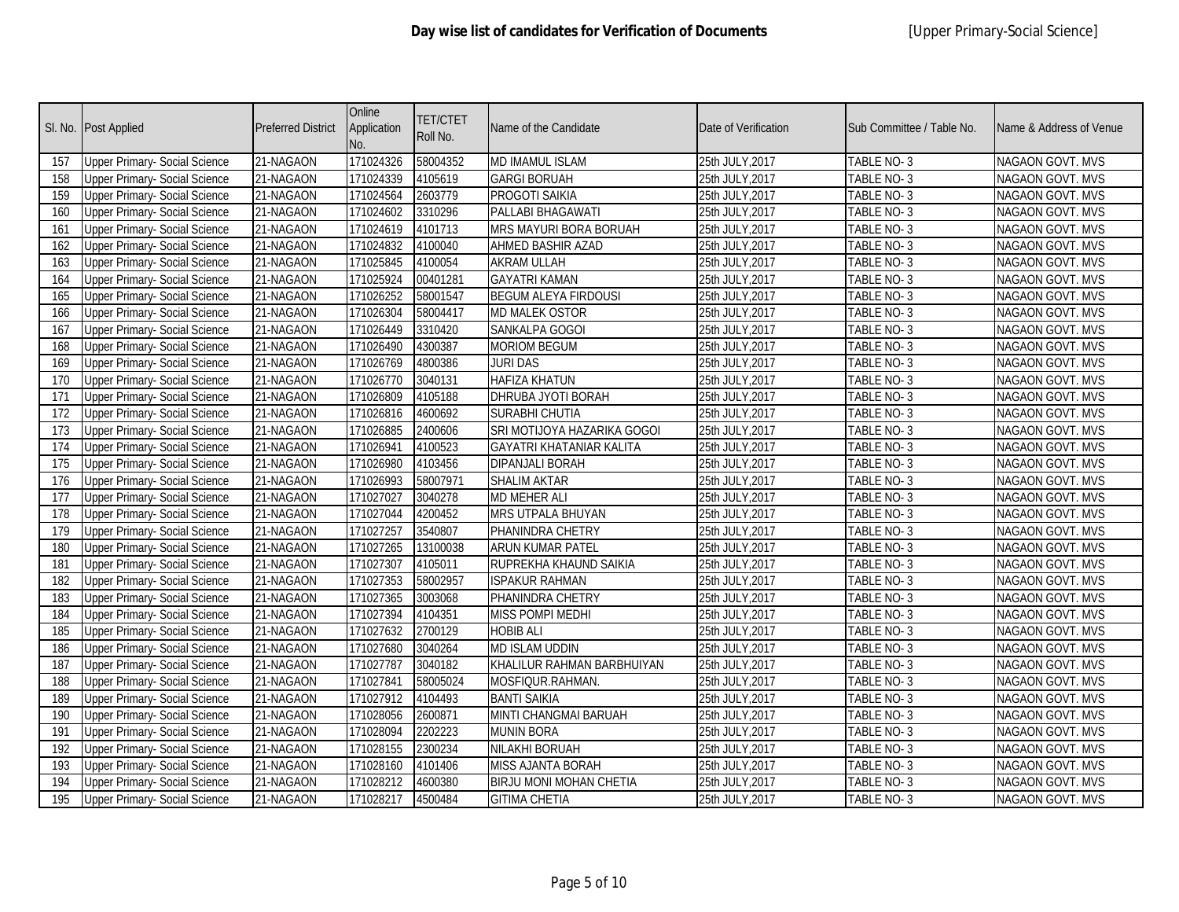|     | Sl. No. Post Applied                 | <b>Preferred District</b> | Online<br>Application<br>No. | TET/CTET<br>Roll No. | Name of the Candidate           | Date of Verification | Sub Committee / Table No. | Name & Address of Venue |
|-----|--------------------------------------|---------------------------|------------------------------|----------------------|---------------------------------|----------------------|---------------------------|-------------------------|
| 157 | <b>Upper Primary- Social Science</b> | 21-NAGAON                 | 171024326                    | 58004352             | <b>MD IMAMUL ISLAM</b>          | 25th JULY, 2017      | TABLE NO-3                | NAGAON GOVT. MVS        |
| 158 | <b>Upper Primary- Social Science</b> | 21-NAGAON                 | 171024339                    | 4105619              | <b>GARGI BORUAH</b>             | 25th JULY, 2017      | TABLE NO- 3               | NAGAON GOVT. MVS        |
| 159 | <b>Upper Primary- Social Science</b> | 21-NAGAON                 | 171024564                    | 2603779              | PROGOTI SAIKIA                  | 25th JULY, 2017      | TABLE NO-3                | <b>NAGAON GOVT. MVS</b> |
| 160 | <b>Upper Primary-Social Science</b>  | 21-NAGAON                 | 171024602                    | 3310296              | PALLABI BHAGAWATI               | 25th JULY, 2017      | TABLE NO-3                | <b>NAGAON GOVT. MVS</b> |
| 161 | <b>Upper Primary- Social Science</b> | 21-NAGAON                 | 171024619                    | 4101713              | MRS MAYURI BORA BORUAH          | 25th JULY, 2017      | TABLE NO-3                | NAGAON GOVT. MVS        |
| 162 | <b>Upper Primary- Social Science</b> | 21-NAGAON                 | 171024832                    | 4100040              | <b>AHMED BASHIR AZAD</b>        | 25th JULY, 2017      | TABLE NO-3                | NAGAON GOVT. MVS        |
| 163 | <b>Upper Primary- Social Science</b> | 21-NAGAON                 | 171025845                    | 4100054              | <b>AKRAM ULLAH</b>              | 25th JULY, 2017      | TABLE NO-3                | NAGAON GOVT. MVS        |
| 164 | <b>Upper Primary- Social Science</b> | 21-NAGAON                 | 171025924                    | 00401281             | <b>GAYATRI KAMAN</b>            | 25th JULY, 2017      | TABLE NO-3                | <b>NAGAON GOVT. MVS</b> |
| 165 | <b>Upper Primary- Social Science</b> | 21-NAGAON                 | 171026252                    | 58001547             | <b>BEGUM ALEYA FIRDOUSI</b>     | 25th JULY, 2017      | TABLE NO-3                | <b>NAGAON GOVT. MVS</b> |
| 166 | <b>Upper Primary- Social Science</b> | 21-NAGAON                 | 171026304                    | 58004417             | <b>MD MALEK OSTOR</b>           | 25th JULY, 2017      | TABLE NO-3                | <b>NAGAON GOVT. MVS</b> |
| 167 | <b>Upper Primary- Social Science</b> | 21-NAGAON                 | 171026449                    | 3310420              | SANKALPA GOGOI                  | 25th JULY, 2017      | TABLE NO-3                | NAGAON GOVT. MVS        |
| 168 | <b>Upper Primary- Social Science</b> | 21-NAGAON                 | 171026490                    | 4300387              | <b>MORIOM BEGUM</b>             | 25th JULY, 2017      | TABLE NO-3                | NAGAON GOVT. MVS        |
| 169 | <b>Upper Primary- Social Science</b> | 21-NAGAON                 | 171026769                    | 4800386              | <b>JURI DAS</b>                 | 25th JULY, 2017      | TABLE NO-3                | NAGAON GOVT. MVS        |
| 170 | <b>Upper Primary- Social Science</b> | 21-NAGAON                 | 171026770                    | 3040131              | <b>HAFIZA KHATUN</b>            | 25th JULY, 2017      | TABLE NO-3                | <b>NAGAON GOVT. MVS</b> |
| 171 | <b>Upper Primary- Social Science</b> | 21-NAGAON                 | 171026809                    | 4105188              | DHRUBA JYOTI BORAH              | 25th JULY, 2017      | TABLE NO-3                | NAGAON GOVT. MVS        |
| 172 | <b>Upper Primary- Social Science</b> | 21-NAGAON                 | 171026816                    | 4600692              | SURABHI CHUTIA                  | 25th JULY,2017       | TABLE NO-3                | NAGAON GOVT. MVS        |
| 173 | <b>Upper Primary- Social Science</b> | 21-NAGAON                 | 171026885                    | 2400606              | SRI MOTIJOYA HAZARIKA GOGOI     | 25th JULY, 2017      | TABLE NO-3                | NAGAON GOVT. MVS        |
| 174 | <b>Upper Primary- Social Science</b> | 21-NAGAON                 | 171026941                    | 4100523              | <b>GAYATRI KHATANIAR KALITA</b> | 25th JULY, 2017      | TABLE NO-3                | NAGAON GOVT. MVS        |
| 175 | <b>Upper Primary- Social Science</b> | 21-NAGAON                 | 171026980                    | 4103456              | <b>DIPANJALI BORAH</b>          | 25th JULY, 2017      | TABLE NO-3                | <b>NAGAON GOVT. MVS</b> |
| 176 | <b>Upper Primary- Social Science</b> | 21-NAGAON                 | 171026993                    | 58007971             | <b>SHALIM AKTAR</b>             | 25th JULY, 2017      | TABLE NO-3                | NAGAON GOVT. MVS        |
| 177 | <b>Upper Primary- Social Science</b> | 21-NAGAON                 | 171027027                    | 3040278              | <b>MD MEHER ALI</b>             | 25th JULY, 2017      | TABLE NO-3                | <b>NAGAON GOVT. MVS</b> |
| 178 | <b>Upper Primary- Social Science</b> | 21-NAGAON                 | 171027044                    | 4200452              | <b>MRS UTPALA BHUYAN</b>        | 25th JULY, 2017      | TABLE NO-3                | NAGAON GOVT. MVS        |
| 179 | <b>Upper Primary- Social Science</b> | 21-NAGAON                 | 171027257                    | 3540807              | PHANINDRA CHETRY                | 25th JULY, 2017      | TABLE NO- 3               | NAGAON GOVT. MVS        |
| 180 | <b>Upper Primary- Social Science</b> | 21-NAGAON                 | 171027265                    | 13100038             | ARUN KUMAR PATEL                | 25th JULY, 2017      | TABLE NO-3                | NAGAON GOVT. MVS        |
| 181 | <b>Upper Primary- Social Science</b> | 21-NAGAON                 | 171027307                    | 4105011              | RUPREKHA KHAUND SAIKIA          | 25th JULY, 2017      | TABLE NO-3                | NAGAON GOVT. MVS        |
| 182 | <b>Upper Primary- Social Science</b> | 21-NAGAON                 | 171027353                    | 58002957             | <b>ISPAKUR RAHMAN</b>           | 25th JULY, 2017      | TABLE NO-3                | NAGAON GOVT. MVS        |
| 183 | <b>Upper Primary- Social Science</b> | 21-NAGAON                 | 171027365                    | 3003068              | PHANINDRA CHETRY                | 25th JULY, 2017      | TABLE NO-3                | NAGAON GOVT. MVS        |
| 184 | <b>Upper Primary- Social Science</b> | 21-NAGAON                 | 171027394                    | 4104351              | MISS POMPI MEDHI                | 25th JULY, 2017      | TABLE NO-3                | NAGAON GOVT. MVS        |
| 185 | <b>Upper Primary- Social Science</b> | 21-NAGAON                 | 171027632                    | 2700129              | <b>HOBIB ALI</b>                | 25th JULY, 2017      | TABLE NO-3                | NAGAON GOVT. MVS        |
| 186 | <b>Upper Primary- Social Science</b> | 21-NAGAON                 | 171027680                    | 3040264              | <b>MD ISLAM UDDIN</b>           | 25th JULY, 2017      | <b>TABLE NO-3</b>         | NAGAON GOVT. MVS        |
| 187 | <b>Upper Primary- Social Science</b> | 21-NAGAON                 | 171027787                    | 3040182              | KHALILUR RAHMAN BARBHUIYAN      | 25th JULY, 2017      | TABLE NO-3                | NAGAON GOVT. MVS        |
| 188 | <b>Upper Primary- Social Science</b> | 21-NAGAON                 | 171027841                    | 58005024             | MOSFIQUR.RAHMAN.                | 25th JULY, 2017      | TABLE NO-3                | NAGAON GOVT. MVS        |
| 189 | <b>Upper Primary- Social Science</b> | 21-NAGAON                 | 171027912                    | 4104493              | <b>BANTI SAIKIA</b>             | 25th JULY, 2017      | TABLE NO-3                | NAGAON GOVT. MVS        |
| 190 | <b>Upper Primary- Social Science</b> | 21-NAGAON                 | 171028056                    | 2600871              | MINTI CHANGMAI BARUAH           | 25th JULY, 2017      | TABLE NO-3                | NAGAON GOVT. MVS        |
| 191 | <b>Upper Primary- Social Science</b> | 21-NAGAON                 | 171028094                    | 2202223              | <b>MUNIN BORA</b>               | 25th JULY, 2017      | TABLE NO-3                | <b>NAGAON GOVT. MVS</b> |
| 192 | <b>Upper Primary- Social Science</b> | 21-NAGAON                 | 171028155                    | 2300234              | NILAKHI BORUAH                  | 25th JULY, 2017      | TABLE NO-3                | NAGAON GOVT. MVS        |
| 193 | <b>Upper Primary- Social Science</b> | 21-NAGAON                 | 171028160                    | 4101406              | <b>MISS AJANTA BORAH</b>        | 25th JULY,2017       | TABLE NO-3                | NAGAON GOVT. MVS        |
| 194 | <b>Upper Primary- Social Science</b> | 21-NAGAON                 | 171028212                    | 4600380              | <b>BIRJU MONI MOHAN CHETIA</b>  | 25th JULY, 2017      | TABLE NO- 3               | NAGAON GOVT. MVS        |
| 195 | <b>Upper Primary- Social Science</b> | 21-NAGAON                 | 171028217                    | 4500484              | <b>GITIMA CHETIA</b>            | 25th JULY, 2017      | TABLE NO- 3               | NAGAON GOVT. MVS        |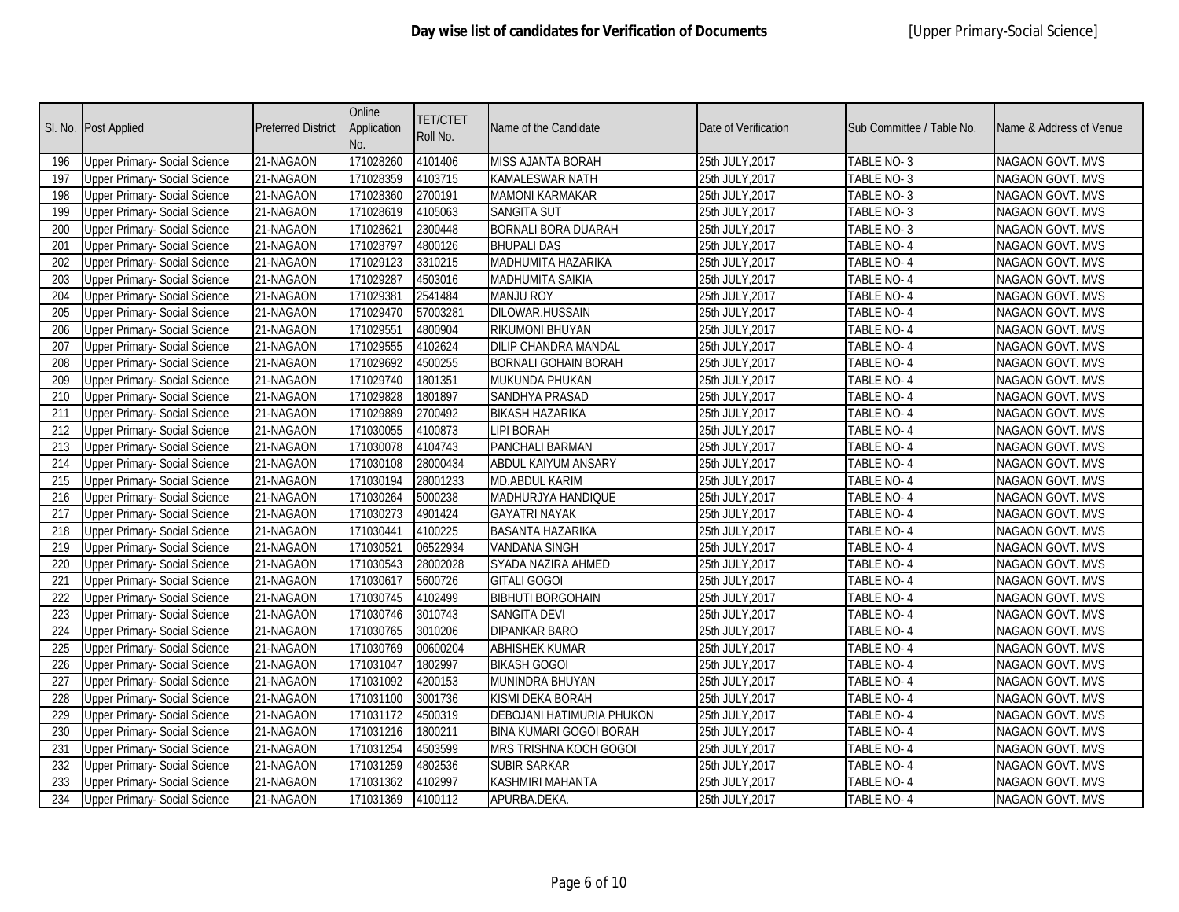|     | SI. No. Post Applied                 | <b>Preferred District</b> | Online<br>Application<br>No. | <b>TET/CTET</b><br>Roll No. | Name of the Candidate          | Date of Verification | Sub Committee / Table No. | Name & Address of Venue |
|-----|--------------------------------------|---------------------------|------------------------------|-----------------------------|--------------------------------|----------------------|---------------------------|-------------------------|
| 196 | <b>Upper Primary- Social Science</b> | 21-NAGAON                 | 171028260                    | 4101406                     | MISS AJANTA BORAH              | 25th JULY, 2017      | TABLE NO-3                | NAGAON GOVT. MVS        |
| 197 | <b>Upper Primary- Social Science</b> | 21-NAGAON                 | 171028359                    | 4103715                     | KAMALESWAR NATH                | 25th JULY, 2017      | TABLE NO- 3               | NAGAON GOVT. MVS        |
| 198 | <b>Upper Primary- Social Science</b> | 21-NAGAON                 | 171028360                    | 2700191                     | <b>MAMONI KARMAKAR</b>         | 25th JULY, 2017      | TABLE NO-3                | NAGAON GOVT. MVS        |
| 199 | <b>Upper Primary- Social Science</b> | 21-NAGAON                 | 171028619                    | 4105063                     | <b>SANGITA SUT</b>             | 25th JULY, 2017      | TABLE NO-3                | NAGAON GOVT. MVS        |
| 200 | <b>Upper Primary- Social Science</b> | 21-NAGAON                 | 171028621                    | 2300448                     | <b>BORNALI BORA DUARAH</b>     | 25th JULY, 2017      | TABLE NO-3                | <b>NAGAON GOVT. MVS</b> |
| 201 | <b>Upper Primary- Social Science</b> | 21-NAGAON                 | 171028797                    | 4800126                     | <b>BHUPALI DAS</b>             | 25th JULY, 2017      | TABLE NO-4                | NAGAON GOVT. MVS        |
| 202 | <b>Upper Primary- Social Science</b> | 21-NAGAON                 | 171029123                    | 3310215                     | MADHUMITA HAZARIKA             | 25th JULY, 2017      | TABLE NO-4                | NAGAON GOVT. MVS        |
| 203 | <b>Upper Primary-Social Science</b>  | 21-NAGAON                 | 171029287                    | 4503016                     | <b>MADHUMITA SAIKIA</b>        | 25th JULY, 2017      | <b>TABLE NO-4</b>         | <b>NAGAON GOVT. MVS</b> |
| 204 | <b>Upper Primary- Social Science</b> | 21-NAGAON                 | 171029381                    | 2541484                     | <b>MANJU ROY</b>               | 25th JULY, 2017      | TABLE NO-4                | NAGAON GOVT. MVS        |
| 205 | <b>Upper Primary- Social Science</b> | 21-NAGAON                 | 171029470                    | 57003281                    | DILOWAR.HUSSAIN                | 25th JULY, 2017      | TABLE NO-4                | NAGAON GOVT. MVS        |
| 206 | <b>Upper Primary- Social Science</b> | 21-NAGAON                 | 171029551                    | 4800904                     | RIKUMONI BHUYAN                | 25th JULY, 2017      | TABLE NO-4                | NAGAON GOVT. MVS        |
| 207 | <b>Upper Primary- Social Science</b> | 21-NAGAON                 | 171029555                    | 4102624                     | DILIP CHANDRA MANDAL           | 25th JULY, 2017      | TABLE NO-4                | NAGAON GOVT. MVS        |
| 208 | <b>Upper Primary- Social Science</b> | 21-NAGAON                 | 171029692                    | 4500255                     | <b>BORNALI GOHAIN BORAH</b>    | 25th JULY, 2017      | TABLE NO-4                | NAGAON GOVT. MVS        |
| 209 | <b>Upper Primary- Social Science</b> | 21-NAGAON                 | 171029740                    | 1801351                     | MUKUNDA PHUKAN                 | 25th JULY, 2017      | TABLE NO-4                | NAGAON GOVT. MVS        |
| 210 | <b>Upper Primary- Social Science</b> | 21-NAGAON                 | 171029828                    | 1801897                     | SANDHYA PRASAD                 | 25th JULY, 2017      | TABLE NO-4                | NAGAON GOVT. MVS        |
| 211 | <b>Upper Primary- Social Science</b> | 21-NAGAON                 | 171029889                    | 2700492                     | <b>BIKASH HAZARIKA</b>         | 25th JULY, 2017      | TABLE NO-4                | NAGAON GOVT. MVS        |
| 212 | <b>Upper Primary- Social Science</b> | 21-NAGAON                 | 171030055                    | 4100873                     | <b>LIPI BORAH</b>              | 25th JULY, 2017      | TABLE NO-4                | NAGAON GOVT. MVS        |
| 213 | <b>Upper Primary- Social Science</b> | 21-NAGAON                 | 171030078                    | 4104743                     | PANCHALI BARMAN                | 25th JULY, 2017      | TABLE NO-4                | NAGAON GOVT. MVS        |
| 214 | <b>Upper Primary- Social Science</b> | 21-NAGAON                 | 171030108                    | 28000434                    | ABDUL KAIYUM ANSARY            | 25th JULY, 2017      | TABLE NO-4                | NAGAON GOVT. MVS        |
| 215 | <b>Upper Primary- Social Science</b> | 21-NAGAON                 | 171030194                    | 28001233                    | MD.ABDUL KARIM                 | 25th JULY, 2017      | TABLE NO-4                | NAGAON GOVT. MVS        |
| 216 | <b>Upper Primary- Social Science</b> | 21-NAGAON                 | 171030264                    | 5000238                     | MADHURJYA HANDIQUE             | 25th JULY, 2017      | TABLE NO-4                | NAGAON GOVT. MVS        |
| 217 | <b>Upper Primary- Social Science</b> | 21-NAGAON                 | 171030273                    | 4901424                     | <b>GAYATRI NAYAK</b>           | 25th JULY, 2017      | TABLE NO-4                | NAGAON GOVT. MVS        |
| 218 | <b>Upper Primary- Social Science</b> | 21-NAGAON                 | 171030441                    | 4100225                     | BASANTA HAZARIKA               | 25th JULY, 2017      | TABLE NO- 4               | NAGAON GOVT. MVS        |
| 219 | <b>Upper Primary- Social Science</b> | 21-NAGAON                 | 171030521                    | 06522934                    | <b>VANDANA SINGH</b>           | 25th JULY, 2017      | TABLE NO-4                | NAGAON GOVT. MVS        |
| 220 | <b>Upper Primary- Social Science</b> | 21-NAGAON                 | 171030543                    | 28002028                    | SYADA NAZIRA AHMED             | 25th JULY, 2017      | TABLE NO-4                | NAGAON GOVT. MVS        |
| 221 | <b>Upper Primary- Social Science</b> | 21-NAGAON                 | 171030617                    | 5600726                     | <b>GITALI GOGOI</b>            | 25th JULY, 2017      | TABLE NO-4                | NAGAON GOVT. MVS        |
| 222 | <b>Upper Primary- Social Science</b> | 21-NAGAON                 | 171030745                    | 4102499                     | <b>BIBHUTI BORGOHAIN</b>       | 25th JULY, 2017      | TABLE NO-4                | NAGAON GOVT. MVS        |
| 223 | <b>Upper Primary- Social Science</b> | 21-NAGAON                 | 171030746                    | 3010743                     | SANGITA DEVI                   | 25th JULY, 2017      | TABLE NO-4                | NAGAON GOVT. MVS        |
| 224 | <b>Upper Primary- Social Science</b> | 21-NAGAON                 | 171030765                    | 3010206                     | DIPANKAR BARO                  | 25th JULY, 2017      | TABLE NO-4                | NAGAON GOVT. MVS        |
| 225 | <b>Upper Primary- Social Science</b> | 21-NAGAON                 | 171030769                    | 00600204                    | <b>ABHISHEK KUMAR</b>          | 25th JULY, 2017      | <b>TABLE NO-4</b>         | NAGAON GOVT. MVS        |
| 226 | <b>Upper Primary- Social Science</b> | 21-NAGAON                 | 171031047                    | 1802997                     | <b>BIKASH GOGOI</b>            | 25th JULY, 2017      | TABLE NO-4                | NAGAON GOVT. MVS        |
| 227 | <b>Upper Primary- Social Science</b> | 21-NAGAON                 | 171031092                    | 4200153                     | MUNINDRA BHUYAN                | 25th JULY, 2017      | TABLE NO-4                | NAGAON GOVT. MVS        |
| 228 | <b>Upper Primary- Social Science</b> | 21-NAGAON                 | 171031100                    | 3001736                     | KISMI DEKA BORAH               | 25th JULY, 2017      | TABLE NO-4                | NAGAON GOVT. MVS        |
| 229 | <b>Upper Primary- Social Science</b> | 21-NAGAON                 | 171031172                    | 4500319                     | DEBOJANI HATIMURIA PHUKON      | 25th JULY, 2017      | TABLE NO-4                | NAGAON GOVT. MVS        |
| 230 | <b>Upper Primary- Social Science</b> | 21-NAGAON                 | 171031216                    | 1800211                     | <b>BINA KUMARI GOGOI BORAH</b> | 25th JULY, 2017      | TABLE NO-4                | NAGAON GOVT. MVS        |
| 231 | <b>Upper Primary- Social Science</b> | 21-NAGAON                 | 171031254                    | 4503599                     | MRS TRISHNA KOCH GOGOI         | 25th JULY, 2017      | TABLE NO-4                | NAGAON GOVT. MVS        |
| 232 | <b>Upper Primary- Social Science</b> | 21-NAGAON                 | 171031259                    | 4802536                     | <b>SUBIR SARKAR</b>            | 25th JULY, 2017      | TABLE NO-4                | NAGAON GOVT. MVS        |
| 233 | <b>Upper Primary- Social Science</b> | 21-NAGAON                 | 171031362                    | 4102997                     | KASHMIRI MAHANTA               | 25th JULY, 2017      | TABLE NO- 4               | NAGAON GOVT. MVS        |
| 234 | Upper Primary- Social Science        | 21-NAGAON                 | 171031369                    | 4100112                     | APURBA.DEKA                    | 25th JULY, 2017      | TABLE NO- 4               | NAGAON GOVT. MVS        |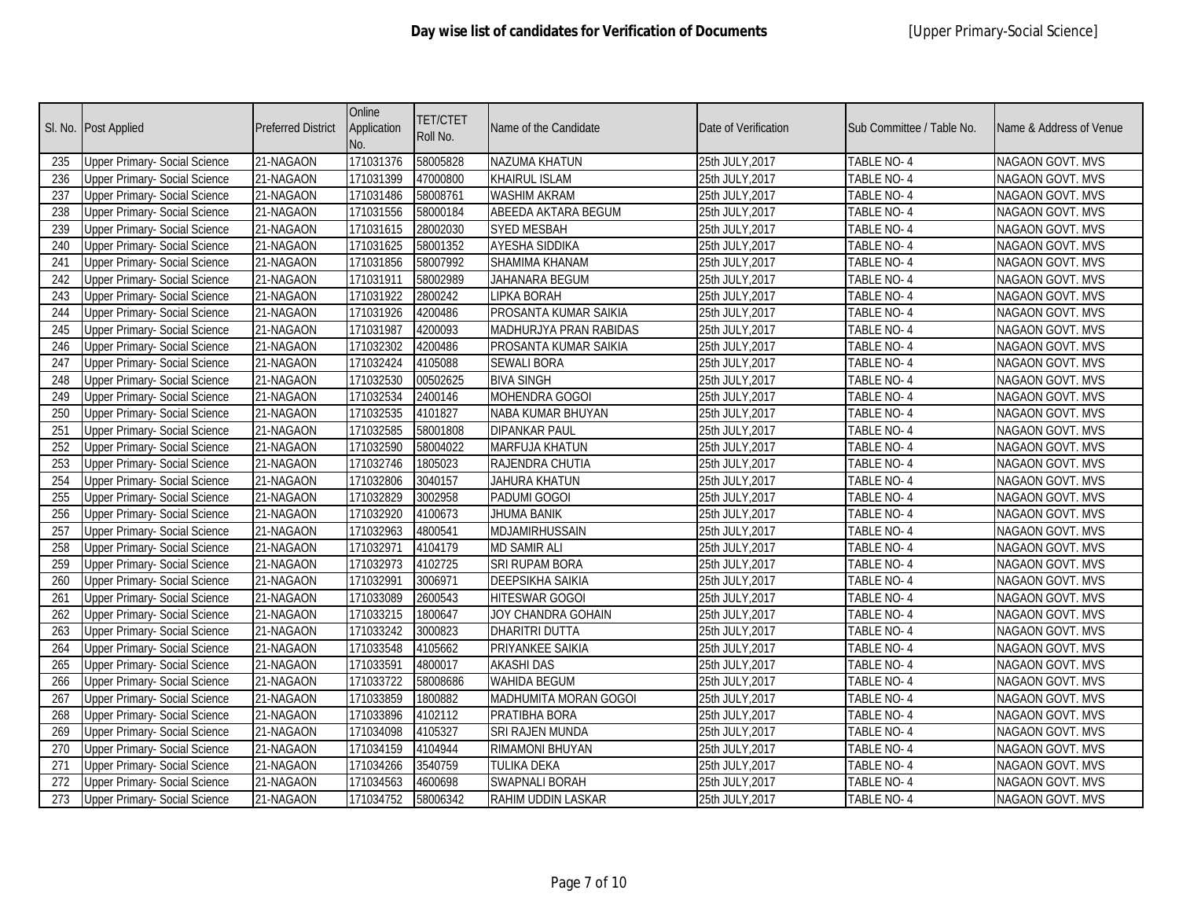|     | Sl. No. Post Applied                 | <b>Preferred District</b> | Online<br>Application<br>No. | <b>TET/CTET</b><br>Roll No. | Name of the Candidate   | Date of Verification | Sub Committee / Table No. | Name & Address of Venue |
|-----|--------------------------------------|---------------------------|------------------------------|-----------------------------|-------------------------|----------------------|---------------------------|-------------------------|
| 235 | <b>Upper Primary- Social Science</b> | 21-NAGAON                 | 171031376                    | 58005828                    | NAZUMA KHATUN           | 25th JULY, 2017      | TABLE NO-4                | NAGAON GOVT. MVS        |
| 236 | <b>Upper Primary- Social Science</b> | 21-NAGAON                 | 171031399                    | 47000800                    | <b>KHAIRUL ISLAM</b>    | 25th JULY, 2017      | TABLE NO- 4               | NAGAON GOVT. MVS        |
| 237 | <b>Upper Primary- Social Science</b> | 21-NAGAON                 | 171031486                    | 58008761                    | WASHIM AKRAM            | 25th JULY, 2017      | <b>TABLE NO-4</b>         | <b>NAGAON GOVT. MVS</b> |
| 238 | <b>Upper Primary- Social Science</b> | 21-NAGAON                 | 171031556                    | 58000184                    | ABEEDA AKTARA BEGUM     | 25th JULY, 2017      | <b>TABLE NO-4</b>         | <b>NAGAON GOVT. MVS</b> |
| 239 | <b>Upper Primary- Social Science</b> | 21-NAGAON                 | 171031615                    | 28002030                    | <b>SYED MESBAH</b>      | 25th JULY, 2017      | TABLE NO-4                | NAGAON GOVT. MVS        |
| 240 | <b>Upper Primary- Social Science</b> | 21-NAGAON                 | 171031625                    | 58001352                    | AYESHA SIDDIKA          | 25th JULY, 2017      | TABLE NO-4                | NAGAON GOVT. MVS        |
| 241 | <b>Upper Primary- Social Science</b> | 21-NAGAON                 | 171031856                    | 58007992                    | SHAMIMA KHANAM          | 25th JULY, 2017      | TABLE NO-4                | NAGAON GOVT. MVS        |
| 242 | <b>Upper Primary- Social Science</b> | 21-NAGAON                 | 171031911                    | 58002989                    | JAHANARA BEGUM          | 25th JULY, 2017      | TABLE NO-4                | NAGAON GOVT. MVS        |
| 243 | <b>Upper Primary- Social Science</b> | 21-NAGAON                 | 171031922                    | 2800242                     | <b>LIPKA BORAH</b>      | 25th JULY, 2017      | <b>TABLE NO-4</b>         | <b>NAGAON GOVT. MVS</b> |
| 244 | <b>Upper Primary- Social Science</b> | 21-NAGAON                 | 171031926                    | 4200486                     | PROSANTA KUMAR SAIKIA   | 25th JULY, 2017      | TABLE NO-4                | NAGAON GOVT. MVS        |
| 245 | <b>Upper Primary- Social Science</b> | 21-NAGAON                 | 171031987                    | 4200093                     | MADHURJYA PRAN RABIDAS  | 25th JULY, 2017      | TABLE NO-4                | NAGAON GOVT. MVS        |
| 246 | <b>Upper Primary- Social Science</b> | 21-NAGAON                 | 171032302                    | 4200486                     | PROSANTA KUMAR SAIKIA   | 25th JULY, 2017      | TABLE NO-4                | NAGAON GOVT. MVS        |
| 247 | <b>Upper Primary- Social Science</b> | 21-NAGAON                 | 171032424                    | 4105088                     | <b>SEWALI BORA</b>      | 25th JULY, 2017      | TABLE NO-4                | NAGAON GOVT. MVS        |
| 248 | <b>Upper Primary- Social Science</b> | 21-NAGAON                 | 171032530                    | 00502625                    | <b>BIVA SINGH</b>       | 25th JULY, 2017      | TABLE NO-4                | NAGAON GOVT. MVS        |
| 249 | <b>Upper Primary- Social Science</b> | 21-NAGAON                 | 171032534                    | 2400146                     | MOHENDRA GOGOI          | 25th JULY, 2017      | TABLE NO- 4               | NAGAON GOVT. MVS        |
| 250 | <b>Upper Primary- Social Science</b> | 21-NAGAON                 | 171032535                    | 4101827                     | NABA KUMAR BHUYAN       | 25th JULY, 2017      | TABLE NO-4                | NAGAON GOVT. MVS        |
| 251 | <b>Upper Primary- Social Science</b> | 21-NAGAON                 | 171032585                    | 58001808                    | <b>DIPANKAR PAUL</b>    | 25th JULY, 2017      | TABLE NO-4                | NAGAON GOVT. MVS        |
| 252 | <b>Upper Primary- Social Science</b> | 21-NAGAON                 | 171032590                    | 58004022                    | MARFUJA KHATUN          | 25th JULY, 2017      | TABLE NO-4                | NAGAON GOVT. MVS        |
| 253 | <b>Upper Primary- Social Science</b> | 21-NAGAON                 | 171032746                    | 1805023                     | RAJENDRA CHUTIA         | 25th JULY, 2017      | TABLE NO-4                | NAGAON GOVT. MVS        |
| 254 | <b>Upper Primary- Social Science</b> | 21-NAGAON                 | 171032806                    | 3040157                     | JAHURA KHATUN           | 25th JULY, 2017      | TABLE NO-4                | NAGAON GOVT. MVS        |
| 255 | <b>Upper Primary- Social Science</b> | 21-NAGAON                 | 171032829                    | 3002958                     | PADUMI GOGOI            | 25th JULY, 2017      | TABLE NO-4                | NAGAON GOVT. MVS        |
| 256 | <b>Upper Primary- Social Science</b> | 21-NAGAON                 | 171032920                    | 4100673                     | <b>JHUMA BANIK</b>      | 25th JULY, 2017      | TABLE NO-4                | NAGAON GOVT. MVS        |
| 257 | <b>Upper Primary- Social Science</b> | 21-NAGAON                 | 171032963                    | 4800541                     | MDJAMIRHUSSAIN          | 25th JULY, 2017      | TABLE NO-4                | NAGAON GOVT. MVS        |
| 258 | <b>Upper Primary- Social Science</b> | 21-NAGAON                 | 171032971                    | 4104179                     | <b>MD SAMIR ALI</b>     | 25th JULY, 2017      | TABLE NO-4                | NAGAON GOVT. MVS        |
| 259 | <b>Upper Primary- Social Science</b> | 21-NAGAON                 | 171032973                    | 4102725                     | SRI RUPAM BORA          | 25th JULY, 2017      | TABLE NO-4                | NAGAON GOVT. MVS        |
| 260 | <b>Upper Primary- Social Science</b> | 21-NAGAON                 | 171032991                    | 3006971                     | <b>DEEPSIKHA SAIKIA</b> | 25th JULY, 2017      | TABLE NO-4                | NAGAON GOVT. MVS        |
| 261 | <b>Upper Primary- Social Science</b> | 21-NAGAON                 | 171033089                    | 2600543                     | HITESWAR GOGOI          | 25th JULY, 2017      | TABLE NO-4                | NAGAON GOVT. MVS        |
| 262 | <b>Upper Primary- Social Science</b> | 21-NAGAON                 | 171033215                    | 1800647                     | JOY CHANDRA GOHAIN      | 25th JULY, 2017      | TABLE NO-4                | NAGAON GOVT. MVS        |
| 263 | <b>Upper Primary- Social Science</b> | 21-NAGAON                 | 171033242                    | 3000823                     | <b>DHARITRI DUTTA</b>   | 25th JULY, 2017      | TABLE NO-4                | NAGAON GOVT. MVS        |
| 264 | <b>Upper Primary- Social Science</b> | 21-NAGAON                 | 171033548                    | 4105662                     | PRIYANKEE SAIKIA        | 25th JULY, 2017      | TABLE NO-4                | NAGAON GOVT. MVS        |
| 265 | <b>Upper Primary- Social Science</b> | 21-NAGAON                 | 171033591                    | 4800017                     | <b>AKASHI DAS</b>       | 25th JULY, 2017      | TABLE NO-4                | NAGAON GOVT. MVS        |
| 266 | <b>Upper Primary- Social Science</b> | 21-NAGAON                 | 171033722                    | 58008686                    | <b>WAHIDA BEGUM</b>     | 25th JULY, 2017      | TABLE NO-4                | NAGAON GOVT. MVS        |
| 267 | <b>Upper Primary- Social Science</b> | 21-NAGAON                 | 171033859                    | 1800882                     | MADHUMITA MORAN GOGOI   | 25th JULY, 2017      | TABLE NO-4                | NAGAON GOVT. MVS        |
| 268 | <b>Upper Primary- Social Science</b> | 21-NAGAON                 | 171033896                    | 4102112                     | PRATIBHA BORA           | 25th JULY, 2017      | TABLE NO-4                | NAGAON GOVT. MVS        |
| 269 | <b>Upper Primary- Social Science</b> | 21-NAGAON                 | 171034098                    | 4105327                     | SRI RAJEN MUNDA         | 25th JULY, 2017      | TABLE NO-4                | NAGAON GOVT. MVS        |
| 270 | <b>Upper Primary- Social Science</b> | 21-NAGAON                 | 171034159                    | 4104944                     | RIMAMONI BHUYAN         | 25th JULY, 2017      | TABLE NO-4                | NAGAON GOVT. MVS        |
| 271 | <b>Upper Primary- Social Science</b> | 21-NAGAON                 | 171034266                    | 3540759                     | TULIKA DEKA             | 25th JULY, 2017      | TABLE NO-4                | NAGAON GOVT. MVS        |
| 272 | <b>Upper Primary- Social Science</b> | 21-NAGAON                 | 171034563                    | 4600698                     | SWAPNALI BORAH          | 25th JULY, 2017      | TABLE NO- 4               | NAGAON GOVT. MVS        |
| 273 | <b>Upper Primary- Social Science</b> | 21-NAGAON                 | 171034752                    | 58006342                    | RAHIM UDDIN LASKAR      | 25th JULY, 2017      | TABLE NO- 4               | NAGAON GOVT. MVS        |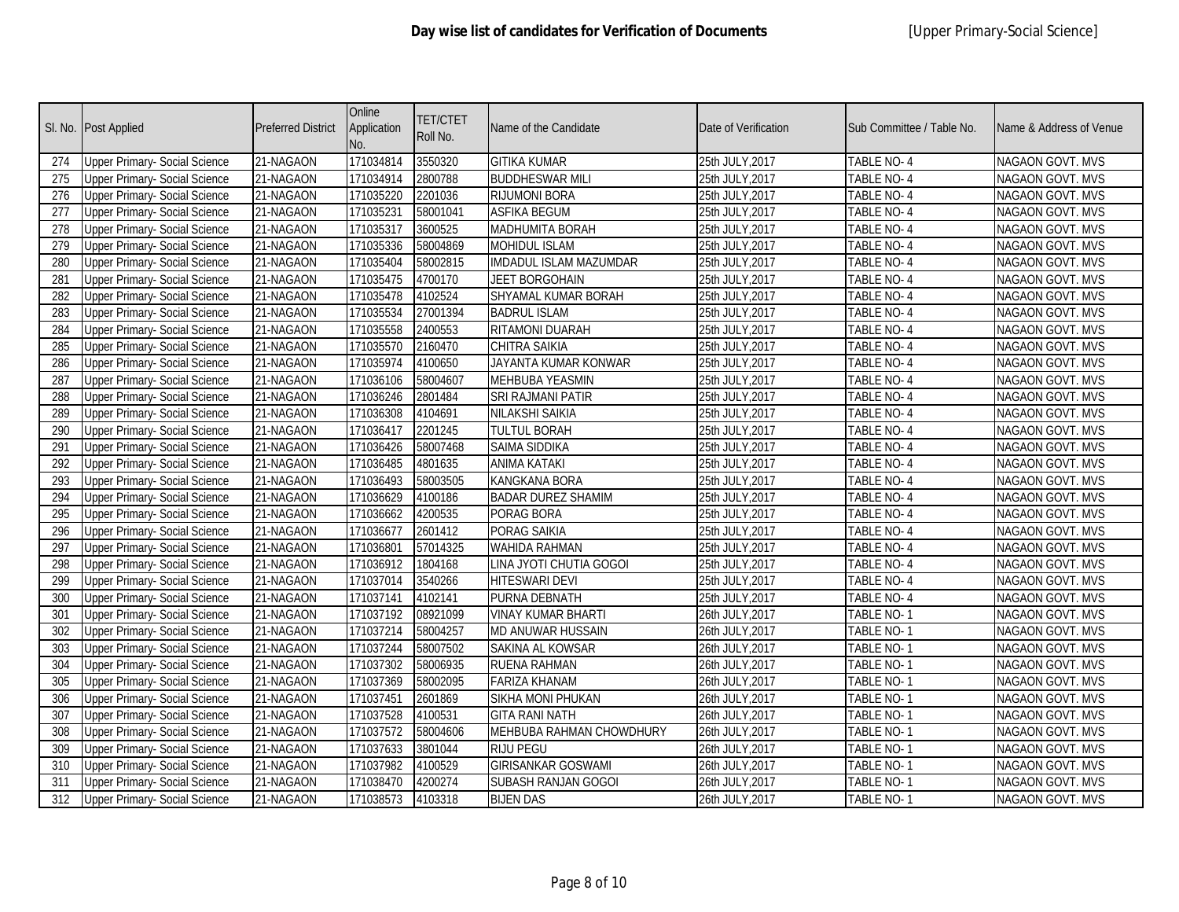|     | Sl. No. Post Applied                 | <b>Preferred District</b> | Online<br>Application<br>No. | <b>TET/CTET</b><br>Roll No. | Name of the Candidate     | Date of Verification | Sub Committee / Table No. | Name & Address of Venue |
|-----|--------------------------------------|---------------------------|------------------------------|-----------------------------|---------------------------|----------------------|---------------------------|-------------------------|
| 274 | <b>Upper Primary- Social Science</b> | 21-NAGAON                 | 171034814                    | 3550320                     | <b>GITIKA KUMAR</b>       | 25th JULY, 2017      | TABLE NO-4                | NAGAON GOVT. MVS        |
| 275 | <b>Upper Primary- Social Science</b> | 21-NAGAON                 | 171034914                    | 2800788                     | <b>BUDDHESWAR MILI</b>    | 25th JULY, 2017      | TABLE NO-4                | NAGAON GOVT. MVS        |
| 276 | <b>Upper Primary- Social Science</b> | 21-NAGAON                 | 171035220                    | 2201036                     | <b>RIJUMONI BORA</b>      | 25th JULY, 2017      | <b>TABLE NO-4</b>         | <b>NAGAON GOVT. MVS</b> |
| 277 | <b>Upper Primary- Social Science</b> | 21-NAGAON                 | 171035231                    | 58001041                    | <b>ASFIKA BEGUM</b>       | 25th JULY, 2017      | <b>TABLE NO-4</b>         | <b>NAGAON GOVT. MVS</b> |
| 278 | <b>Upper Primary- Social Science</b> | 21-NAGAON                 | 171035317                    | 3600525                     | MADHUMITA BORAH           | 25th JULY, 2017      | TABLE NO-4                | NAGAON GOVT. MVS        |
| 279 | <b>Upper Primary- Social Science</b> | 21-NAGAON                 | 171035336                    | 58004869                    | <b>MOHIDUL ISLAM</b>      | 25th JULY, 2017      | TABLE NO-4                | NAGAON GOVT. MVS        |
| 280 | <b>Upper Primary- Social Science</b> | 21-NAGAON                 | 171035404                    | 58002815                    | IMDADUL ISLAM MAZUMDAR    | 25th JULY, 2017      | TABLE NO-4                | NAGAON GOVT. MVS        |
| 281 | <b>Upper Primary- Social Science</b> | 21-NAGAON                 | 171035475                    | 4700170                     | <b>JEET BORGOHAIN</b>     | 25th JULY, 2017      | TABLE NO-4                | NAGAON GOVT. MVS        |
| 282 | <b>Upper Primary- Social Science</b> | 21-NAGAON                 | 171035478                    | 4102524                     | SHYAMAL KUMAR BORAH       | 25th JULY, 2017      | <b>TABLE NO-4</b>         | <b>NAGAON GOVT. MVS</b> |
| 283 | <b>Upper Primary- Social Science</b> | 21-NAGAON                 | 171035534                    | 27001394                    | <b>BADRUL ISLAM</b>       | 25th JULY, 2017      | TABLE NO-4                | NAGAON GOVT. MVS        |
| 284 | <b>Upper Primary- Social Science</b> | 21-NAGAON                 | 171035558                    | 2400553                     | RITAMONI DUARAH           | 25th JULY, 2017      | TABLE NO-4                | NAGAON GOVT. MVS        |
| 285 | <b>Upper Primary- Social Science</b> | 21-NAGAON                 | 171035570                    | 2160470                     | CHITRA SAIKIA             | 25th JULY, 2017      | TABLE NO-4                | NAGAON GOVT. MVS        |
| 286 | <b>Upper Primary- Social Science</b> | 21-NAGAON                 | 171035974                    | 4100650                     | JAYANTA KUMAR KONWAR      | 25th JULY, 2017      | TABLE NO-4                | NAGAON GOVT. MVS        |
| 287 | <b>Upper Primary- Social Science</b> | 21-NAGAON                 | 171036106                    | 58004607                    | MEHBUBA YEASMIN           | 25th JULY, 2017      | TABLE NO-4                | NAGAON GOVT. MVS        |
| 288 | <b>Upper Primary- Social Science</b> | 21-NAGAON                 | 171036246                    | 2801484                     | SRI RAJMANI PATIR         | 25th JULY, 2017      | TABLE NO- 4               | NAGAON GOVT. MVS        |
| 289 | <b>Upper Primary- Social Science</b> | 21-NAGAON                 | 171036308                    | 4104691                     | NILAKSHI SAIKIA           | 25th JULY, 2017      | TABLE NO-4                | NAGAON GOVT. MVS        |
| 290 | <b>Upper Primary- Social Science</b> | 21-NAGAON                 | 171036417                    | 2201245                     | <b>TULTUL BORAH</b>       | 25th JULY, 2017      | TABLE NO-4                | NAGAON GOVT. MVS        |
| 291 | <b>Upper Primary- Social Science</b> | 21-NAGAON                 | 171036426                    | 58007468                    | SAIMA SIDDIKA             | 25th JULY, 2017      | TABLE NO-4                | NAGAON GOVT. MVS        |
| 292 | <b>Upper Primary- Social Science</b> | 21-NAGAON                 | 171036485                    | 4801635                     | ANIMA KATAKI              | 25th JULY, 2017      | TABLE NO-4                | NAGAON GOVT. MVS        |
| 293 | <b>Upper Primary- Social Science</b> | 21-NAGAON                 | 171036493                    | 58003505                    | KANGKANA BORA             | 25th JULY, 2017      | TABLE NO-4                | NAGAON GOVT. MVS        |
| 294 | <b>Upper Primary- Social Science</b> | 21-NAGAON                 | 171036629                    | 4100186                     | <b>BADAR DUREZ SHAMIM</b> | 25th JULY, 2017      | TABLE NO-4                | NAGAON GOVT. MVS        |
| 295 | <b>Upper Primary- Social Science</b> | 21-NAGAON                 | 171036662                    | 4200535                     | PORAG BORA                | 25th JULY, 2017      | TABLE NO-4                | NAGAON GOVT. MVS        |
| 296 | <b>Upper Primary- Social Science</b> | 21-NAGAON                 | 171036677                    | 2601412                     | PORAG SAIKIA              | 25th JULY, 2017      | TABLE NO-4                | NAGAON GOVT. MVS        |
| 297 | <b>Upper Primary- Social Science</b> | 21-NAGAON                 | 171036801                    | 57014325                    | WAHIDA RAHMAN             | 25th JULY, 2017      | TABLE NO-4                | NAGAON GOVT. MVS        |
| 298 | <b>Upper Primary- Social Science</b> | 21-NAGAON                 | 171036912                    | 1804168                     | LINA JYOTI CHUTIA GOGOI   | 25th JULY, 2017      | TABLE NO-4                | NAGAON GOVT. MVS        |
| 299 | <b>Upper Primary- Social Science</b> | 21-NAGAON                 | 171037014                    | 3540266                     | <b>HITESWARI DEVI</b>     | 25th JULY, 2017      | TABLE NO-4                | NAGAON GOVT. MVS        |
| 300 | <b>Upper Primary- Social Science</b> | 21-NAGAON                 | 171037141                    | 4102141                     | PURNA DEBNATH             | 25th JULY, 2017      | TABLE NO-4                | NAGAON GOVT. MVS        |
| 301 | <b>Upper Primary- Social Science</b> | 21-NAGAON                 | 171037192                    | 08921099                    | <b>VINAY KUMAR BHARTI</b> | 26th JULY, 2017      | TABLE NO-1                | NAGAON GOVT. MVS        |
| 302 | <b>Upper Primary- Social Science</b> | 21-NAGAON                 | 171037214                    | 58004257                    | MD ANUWAR HUSSAIN         | 26th JULY, 2017      | TABLE NO-1                | NAGAON GOVT. MVS        |
| 303 | <b>Upper Primary- Social Science</b> | 21-NAGAON                 | 171037244                    | 58007502                    | SAKINA AL KOWSAR          | 26th JULY, 2017      | TABLE NO-1                | NAGAON GOVT. MVS        |
| 304 | <b>Upper Primary- Social Science</b> | 21-NAGAON                 | 171037302                    | 58006935                    | RUENA RAHMAN              | 26th JULY, 2017      | TABLE NO-1                | NAGAON GOVT. MVS        |
| 305 | <b>Upper Primary- Social Science</b> | 21-NAGAON                 | 171037369                    | 58002095                    | <b>FARIZA KHANAM</b>      | 26th JULY, 2017      | TABLE NO-1                | NAGAON GOVT. MVS        |
| 306 | <b>Upper Primary- Social Science</b> | 21-NAGAON                 | 171037451                    | 2601869                     | SIKHA MONI PHUKAN         | 26th JULY, 2017      | TABLE NO-1                | NAGAON GOVT. MVS        |
| 307 | <b>Upper Primary- Social Science</b> | 21-NAGAON                 | 171037528                    | 4100531                     | <b>GITA RANI NATH</b>     | 26th JULY, 2017      | TABLE NO-1                | NAGAON GOVT. MVS        |
| 308 | <b>Upper Primary- Social Science</b> | 21-NAGAON                 | 171037572                    | 58004606                    | MEHBUBA RAHMAN CHOWDHURY  | 26th JULY, 2017      | TABLE NO-1                | NAGAON GOVT. MVS        |
| 309 | <b>Upper Primary- Social Science</b> | 21-NAGAON                 | 171037633                    | 3801044                     | <b>RIJU PEGU</b>          | 26th JULY, 2017      | TABLE NO-1                | NAGAON GOVT. MVS        |
| 310 | <b>Upper Primary- Social Science</b> | 21-NAGAON                 | 171037982                    | 4100529                     | <b>GIRISANKAR GOSWAMI</b> | 26th JULY, 2017      | TABLE NO-1                | NAGAON GOVT. MVS        |
| 311 | <b>Upper Primary- Social Science</b> | 21-NAGAON                 | 171038470                    | 4200274                     | SUBASH RANJAN GOGOI       | 26th JULY, 2017      | <b>TABLE NO-</b> 1        | NAGAON GOVT. MVS        |
| 312 | <b>Upper Primary- Social Science</b> | 21-NAGAON                 | 171038573                    | 4103318                     | <b>BIJEN DAS</b>          | 26th JULY, 2017      | TABLE NO- 1               | NAGAON GOVT. MVS        |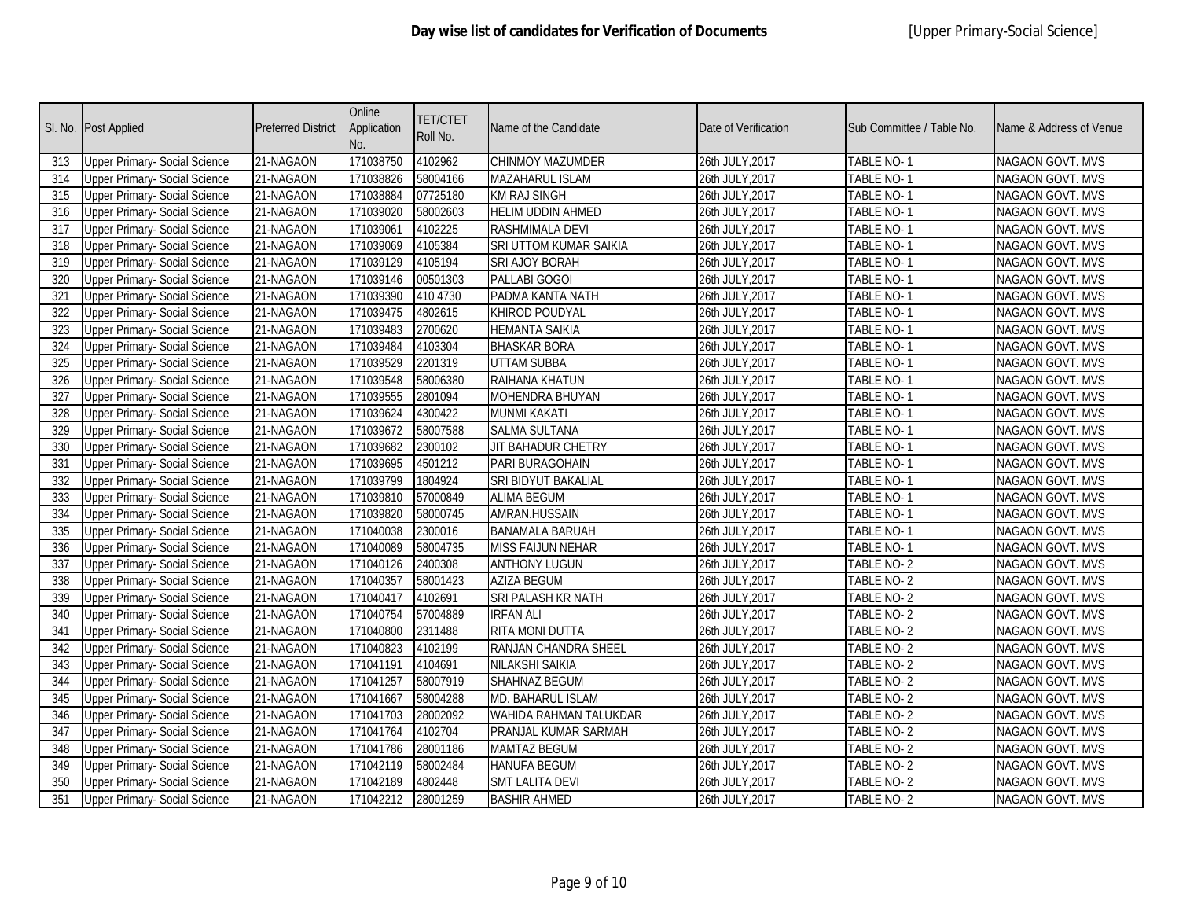|                  | Sl. No. Post Applied                 | Preferred District | Online<br>Application<br>No. | <b>TET/CTET</b><br>Roll No. | Name of the Candidate    | Date of Verification | Sub Committee / Table No. | Name & Address of Venue |
|------------------|--------------------------------------|--------------------|------------------------------|-----------------------------|--------------------------|----------------------|---------------------------|-------------------------|
| 313              | <b>Upper Primary- Social Science</b> | 21-NAGAON          | 171038750                    | 4102962                     | CHINMOY MAZUMDER         | 26th JULY, 2017      | TABLE NO-1                | NAGAON GOVT. MVS        |
| 314              | <b>Upper Primary- Social Science</b> | 21-NAGAON          | 171038826                    | 58004166                    | MAZAHARUL ISLAM          | 26th JULY, 2017      | TABLE NO-1                | NAGAON GOVT. MVS        |
| 315              | <b>Upper Primary- Social Science</b> | 21-NAGAON          | 171038884                    | 07725180                    | <b>KM RAJ SINGH</b>      | 26th JULY, 2017      | <b>TABLE NO-1</b>         | NAGAON GOVT. MVS        |
| 316              | <b>Upper Primary- Social Science</b> | 21-NAGAON          | 171039020                    | 58002603                    | <b>HELIM UDDIN AHMED</b> | 26th JULY, 2017      | <b>TABLE NO-1</b>         | NAGAON GOVT. MVS        |
| 317              | <b>Upper Primary- Social Science</b> | 21-NAGAON          | 171039061                    | 4102225                     | RASHMIMALA DEVI          | 26th JULY, 2017      | TABLE NO-1                | <b>NAGAON GOVT. MVS</b> |
| 318              | <b>Upper Primary- Social Science</b> | 21-NAGAON          | 171039069                    | 4105384                     | SRI UTTOM KUMAR SAIKIA   | 26th JULY, 2017      | <b>TABLE NO-1</b>         | NAGAON GOVT. MVS        |
| 319              | <b>Upper Primary- Social Science</b> | 21-NAGAON          | 171039129                    | 4105194                     | SRI AJOY BORAH           | 26th JULY, 2017      | TABLE NO-1                | NAGAON GOVT. MVS        |
| 320              | <b>Upper Primary- Social Science</b> | 21-NAGAON          | 171039146                    | 00501303                    | PALLABI GOGOI            | 26th JULY, 2017      | TABLE NO-1                | NAGAON GOVT. MVS        |
| $\overline{321}$ | <b>Upper Primary- Social Science</b> | 21-NAGAON          | 171039390                    | 410 4730                    | PADMA KANTA NATH         | 26th JULY, 2017      | <b>TABLE NO-1</b>         | <b>NAGAON GOVT. MVS</b> |
| 322              | <b>Upper Primary- Social Science</b> | 21-NAGAON          | 171039475                    | 4802615                     | KHIROD POUDYAL           | 26th JULY, 2017      | TABLE NO-1                | <b>NAGAON GOVT. MVS</b> |
| 323              | <b>Upper Primary- Social Science</b> | 21-NAGAON          | 171039483                    | 2700620                     | <b>HEMANTA SAIKIA</b>    | 26th JULY, 2017      | TABLE NO-1                | NAGAON GOVT. MVS        |
| 324              | <b>Upper Primary- Social Science</b> | 21-NAGAON          | 171039484                    | 4103304                     | <b>BHASKAR BORA</b>      | 26th JULY,2017       | TABLE NO-1                | NAGAON GOVT. MVS        |
| 325              | <b>Upper Primary- Social Science</b> | 21-NAGAON          | 171039529                    | 2201319                     | <b>UTTAM SUBBA</b>       | 26th JULY, 2017      | TABLE NO-1                | NAGAON GOVT. MVS        |
| 326              | <b>Upper Primary- Social Science</b> | 21-NAGAON          | 171039548                    | 58006380                    | RAIHANA KHATUN           | 26th JULY, 2017      | TABLE NO-1                | NAGAON GOVT. MVS        |
| 327              | <b>Upper Primary- Social Science</b> | 21-NAGAON          | 171039555                    | 2801094                     | MOHENDRA BHUYAN          | 26th JULY, 2017      | TABLE NO- 1               | NAGAON GOVT. MVS        |
| 328              | <b>Upper Primary- Social Science</b> | 21-NAGAON          | 171039624                    | 4300422                     | MUNMI KAKATI             | 26th JULY, 2017      | TABLE NO- 1               | NAGAON GOVT. MVS        |
| 329              | <b>Upper Primary- Social Science</b> | 21-NAGAON          | 171039672                    | 58007588                    | <b>SALMA SULTANA</b>     | 26th JULY, 2017      | TABLE NO-1                | <b>NAGAON GOVT. MVS</b> |
| 330              | <b>Upper Primary- Social Science</b> | 21-NAGAON          | 171039682                    | 2300102                     | JIT BAHADUR CHETRY       | 26th JULY, 2017      | TABLE NO-1                | NAGAON GOVT. MVS        |
| 331              | <b>Upper Primary- Social Science</b> | 21-NAGAON          | 171039695                    | 4501212                     | PARI BURAGOHAIN          | 26th JULY, 2017      | TABLE NO-1                | NAGAON GOVT. MVS        |
| 332              | Upper Primary- Social Science        | 21-NAGAON          | 171039799                    | 1804924                     | SRI BIDYUT BAKALIAL      | 26th JULY, 2017      | TABLE NO-1                | NAGAON GOVT. MVS        |
| 333              | <b>Upper Primary- Social Science</b> | 21-NAGAON          | 171039810                    | 57000849                    | <b>ALIMA BEGUM</b>       | 26th JULY, 2017      | TABLE NO-1                | NAGAON GOVT. MVS        |
| 334              | <b>Upper Primary- Social Science</b> | 21-NAGAON          | 171039820                    | 58000745                    | AMRAN.HUSSAIN            | 26th JULY, 2017      | TABLE NO-1                | NAGAON GOVT. MVS        |
| 335              | <b>Upper Primary- Social Science</b> | 21-NAGAON          | 171040038                    | 2300016                     | <b>BANAMALA BARUAH</b>   | 26th JULY, 2017      | <b>TABLE NO-1</b>         | NAGAON GOVT. MVS        |
| 336              | <b>Upper Primary- Social Science</b> | 21-NAGAON          | 171040089                    | 58004735                    | <b>MISS FAIJUN NEHAR</b> | 26th JULY, 2017      | TABLE NO-1                | NAGAON GOVT. MVS        |
| 337              | <b>Upper Primary- Social Science</b> | 21-NAGAON          | 171040126                    | 2400308                     | <b>ANTHONY LUGUN</b>     | 26th JULY, 2017      | TABLE NO-2                | NAGAON GOVT. MVS        |
| 338              | <b>Upper Primary- Social Science</b> | 21-NAGAON          | 171040357                    | 58001423                    | <b>AZIZA BEGUM</b>       | 26th JULY, 2017      | TABLE NO-2                | NAGAON GOVT. MVS        |
| 339              | <b>Upper Primary- Social Science</b> | 21-NAGAON          | 171040417                    | 4102691                     | SRI PALASH KR NATH       | 26th JULY, 2017      | TABLE NO-2                | NAGAON GOVT. MVS        |
| 340              | <b>Upper Primary- Social Science</b> | 21-NAGAON          | 171040754                    | 57004889                    | <b>IRFAN ALI</b>         | 26th JULY, 2017      | TABLE NO-2                | NAGAON GOVT. MVS        |
| 341              | <b>Upper Primary- Social Science</b> | 21-NAGAON          | 171040800                    | 2311488                     | RITA MONI DUTTA          | 26th JULY, 2017      | TABLE NO-2                | NAGAON GOVT. MVS        |
| 342              | <b>Upper Primary- Social Science</b> | 21-NAGAON          | 171040823                    | 4102199                     | RANJAN CHANDRA SHEEL     | 26th JULY, 2017      | TABLE NO-2                | NAGAON GOVT. MVS        |
| 343              | <b>Upper Primary- Social Science</b> | 21-NAGAON          | 171041191                    | 4104691                     | NILAKSHI SAIKIA          | 26th JULY,2017       | TABLE NO-2                | NAGAON GOVT. MVS        |
| 344              | <b>Upper Primary- Social Science</b> | 21-NAGAON          | 171041257                    | 58007919                    | SHAHNAZ BEGUM            | 26th JULY, 2017      | TABLE NO-2                | NAGAON GOVT. MVS        |
| 345              | <b>Upper Primary- Social Science</b> | 21-NAGAON          | 171041667                    | 58004288                    | MD. BAHARUL ISLAM        | 26th JULY,2017       | TABLE NO- 2               | NAGAON GOVT. MVS        |
| 346              | <b>Upper Primary- Social Science</b> | 21-NAGAON          | 171041703                    | 28002092                    | WAHIDA RAHMAN TALUKDAR   | 26th JULY, 2017      | TABLE NO-2                | NAGAON GOVT. MVS        |
| 347              | <b>Upper Primary- Social Science</b> | 21-NAGAON          | 171041764                    | 4102704                     | PRANJAL KUMAR SARMAH     | 26th JULY, 2017      | TABLE NO-2                | NAGAON GOVT. MVS        |
| 348              | <b>Upper Primary- Social Science</b> | 21-NAGAON          | 171041786                    | 28001186                    | <b>MAMTAZ BEGUM</b>      | 26th JULY, 2017      | TABLE NO-2                | NAGAON GOVT. MVS        |
| 349              | <b>Upper Primary- Social Science</b> | 21-NAGAON          | 171042119                    | 58002484                    | <b>HANUFA BEGUM</b>      | 26th JULY, 2017      | TABLE NO- 2               | NAGAON GOVT. MVS        |
| 350              | <b>Upper Primary- Social Science</b> | 21-NAGAON          | 171042189                    | 4802448                     | <b>SMT LALITA DEVI</b>   | 26th JULY, 2017      | TABLE NO- 2               | NAGAON GOVT. MVS        |
| 351              | <b>Upper Primary- Social Science</b> | 21-NAGAON          | 171042212                    | 28001259                    | BASHIR AHMED             | 26th JULY, 2017      | TABLE NO-2                | NAGAON GOVT. MVS        |